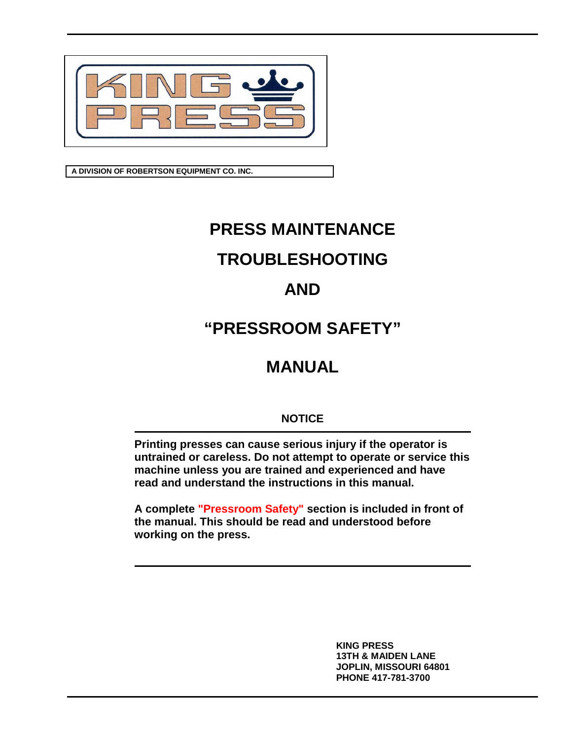

**A DIVISION OF ROBERTSON EQUIPMENT CO. INC.**

# **PRESS MAINTENANCE TROUBLESHOOTING AND**

# **"PRESSROOM SAFETY"**

# **MANUAL**

# **NOTICE**

**Printing presses can cause serious injury if the operator is untrained or careless. Do not attempt to operate or service this machine unless you are trained and experienced and have read and understand the instructions in this manual.**

**A complete "Pressroom Safety" section is included in front of the manual. This should be read and understood before working on the press.**

> **KING PRESS 13TH & MAIDEN LANE JOPLIN, MISSOURI 64801 PHONE 417-781-3700**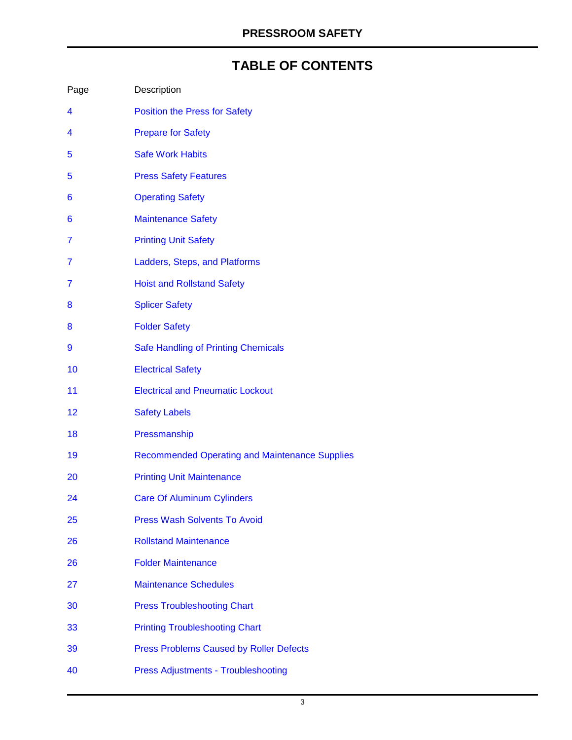# **TABLE OF CONTENTS**

| Page | Description                                           |
|------|-------------------------------------------------------|
| 4    | <b>Position the Press for Safety</b>                  |
| 4    | <b>Prepare for Safety</b>                             |
| 5    | <b>Safe Work Habits</b>                               |
| 5    | <b>Press Safety Features</b>                          |
| 6    | <b>Operating Safety</b>                               |
| 6    | <b>Maintenance Safety</b>                             |
| 7    | <b>Printing Unit Safety</b>                           |
| 7    | Ladders, Steps, and Platforms                         |
| 7    | <b>Hoist and Rollstand Safety</b>                     |
| 8    | <b>Splicer Safety</b>                                 |
| 8    | <b>Folder Safety</b>                                  |
| 9    | Safe Handling of Printing Chemicals                   |
| 10   | <b>Electrical Safety</b>                              |
| 11   | <b>Electrical and Pneumatic Lockout</b>               |
| 12   | <b>Safety Labels</b>                                  |
| 18   | Pressmanship                                          |
| 19   | <b>Recommended Operating and Maintenance Supplies</b> |
| 20   | <b>Printing Unit Maintenance</b>                      |
| 24   | <b>Care Of Aluminum Cylinders</b>                     |
| 25   | <b>Press Wash Solvents To Avoid</b>                   |
| 26   | <b>Rollstand Maintenance</b>                          |
| 26   | <b>Folder Maintenance</b>                             |
| 27   | <b>Maintenance Schedules</b>                          |
| 30   | <b>Press Troubleshooting Chart</b>                    |
| 33   | <b>Printing Troubleshooting Chart</b>                 |
| 39   | <b>Press Problems Caused by Roller Defects</b>        |
| 40   | <b>Press Adjustments - Troubleshooting</b>            |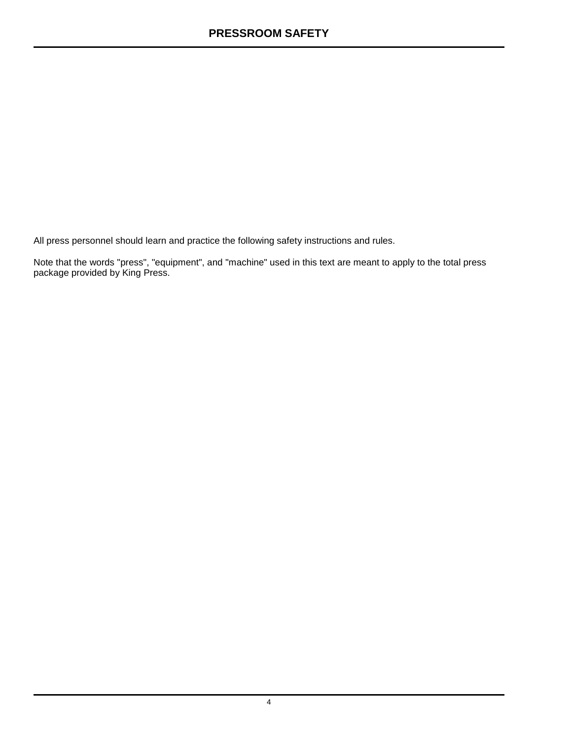All press personnel should learn and practice the following safety instructions and rules.

Note that the words "press", "equipment", and "machine" used in this text are meant to apply to the total press package provided by King Press.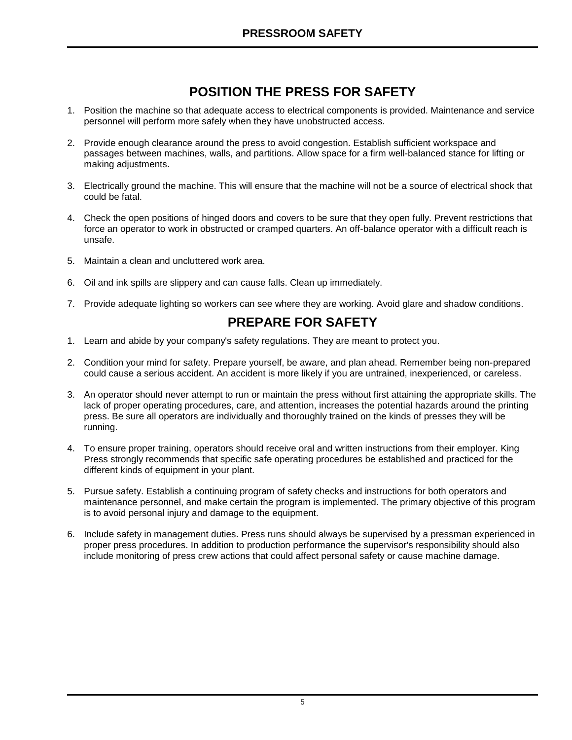# **POSITION THE PRESS FOR SAFETY**

- 1. Position the machine so that adequate access to electrical components is provided. Maintenance and service personnel will perform more safely when they have unobstructed access.
- 2. Provide enough clearance around the press to avoid congestion. Establish sufficient workspace and passages between machines, walls, and partitions. Allow space for a firm well-balanced stance for lifting or making adjustments.
- 3. Electrically ground the machine. This will ensure that the machine will not be a source of electrical shock that could be fatal.
- 4. Check the open positions of hinged doors and covers to be sure that they open fully. Prevent restrictions that force an operator to work in obstructed or cramped quarters. An off-balance operator with a difficult reach is unsafe.
- 5. Maintain a clean and uncluttered work area.
- 6. Oil and ink spills are slippery and can cause falls. Clean up immediately.
- 7. Provide adequate lighting so workers can see where they are working. Avoid glare and shadow conditions.

# **PREPARE FOR SAFETY**

- 1. Learn and abide by your company's safety regulations. They are meant to protect you.
- 2. Condition your mind for safety. Prepare yourself, be aware, and plan ahead. Remember being non-prepared could cause a serious accident. An accident is more likely if you are untrained, inexperienced, or careless.
- 3. An operator should never attempt to run or maintain the press without first attaining the appropriate skills. The lack of proper operating procedures, care, and attention, increases the potential hazards around the printing press. Be sure all operators are individually and thoroughly trained on the kinds of presses they will be running.
- 4. To ensure proper training, operators should receive oral and written instructions from their employer. King Press strongly recommends that specific safe operating procedures be established and practiced for the different kinds of equipment in your plant.
- 5. Pursue safety. Establish a continuing program of safety checks and instructions for both operators and maintenance personnel, and make certain the program is implemented. The primary objective of this program is to avoid personal injury and damage to the equipment.
- 6. Include safety in management duties. Press runs should always be supervised by a pressman experienced in proper press procedures. In addition to production performance the supervisor's responsibility should also include monitoring of press crew actions that could affect personal safety or cause machine damage.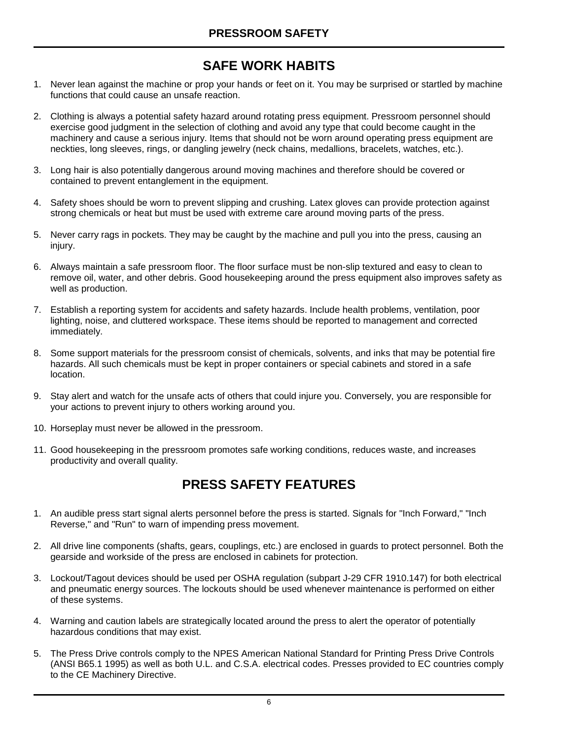# **SAFE WORK HABITS**

- 1. Never lean against the machine or prop your hands or feet on it. You may be surprised or startled by machine functions that could cause an unsafe reaction.
- 2. Clothing is always a potential safety hazard around rotating press equipment. Pressroom personnel should exercise good judgment in the selection of clothing and avoid any type that could become caught in the machinery and cause a serious injury. Items that should not be worn around operating press equipment are neckties, long sleeves, rings, or dangling jewelry (neck chains, medallions, bracelets, watches, etc.).
- 3. Long hair is also potentially dangerous around moving machines and therefore should be covered or contained to prevent entanglement in the equipment.
- 4. Safety shoes should be worn to prevent slipping and crushing. Latex gloves can provide protection against strong chemicals or heat but must be used with extreme care around moving parts of the press.
- 5. Never carry rags in pockets. They may be caught by the machine and pull you into the press, causing an injury.
- 6. Always maintain a safe pressroom floor. The floor surface must be non-slip textured and easy to clean to remove oil, water, and other debris. Good housekeeping around the press equipment also improves safety as well as production.
- 7. Establish a reporting system for accidents and safety hazards. Include health problems, ventilation, poor lighting, noise, and cluttered workspace. These items should be reported to management and corrected immediately.
- 8. Some support materials for the pressroom consist of chemicals, solvents, and inks that may be potential fire hazards. All such chemicals must be kept in proper containers or special cabinets and stored in a safe location.
- 9. Stay alert and watch for the unsafe acts of others that could injure you. Conversely, you are responsible for your actions to prevent injury to others working around you.
- 10. Horseplay must never be allowed in the pressroom.
- 11. Good housekeeping in the pressroom promotes safe working conditions, reduces waste, and increases productivity and overall quality.

# **PRESS SAFETY FEATURES**

- 1. An audible press start signal alerts personnel before the press is started. Signals for "Inch Forward," "Inch Reverse," and "Run" to warn of impending press movement.
- 2. All drive line components (shafts, gears, couplings, etc.) are enclosed in guards to protect personnel. Both the gearside and workside of the press are enclosed in cabinets for protection.
- 3. Lockout/Tagout devices should be used per OSHA regulation (subpart J-29 CFR 1910.147) for both electrical and pneumatic energy sources. The lockouts should be used whenever maintenance is performed on either of these systems.
- 4. Warning and caution labels are strategically located around the press to alert the operator of potentially hazardous conditions that may exist.
- 5. The Press Drive controls comply to the NPES American National Standard for Printing Press Drive Controls (ANSI B65.1 1995) as well as both U.L. and C.S.A. electrical codes. Presses provided to EC countries comply to the CE Machinery Directive.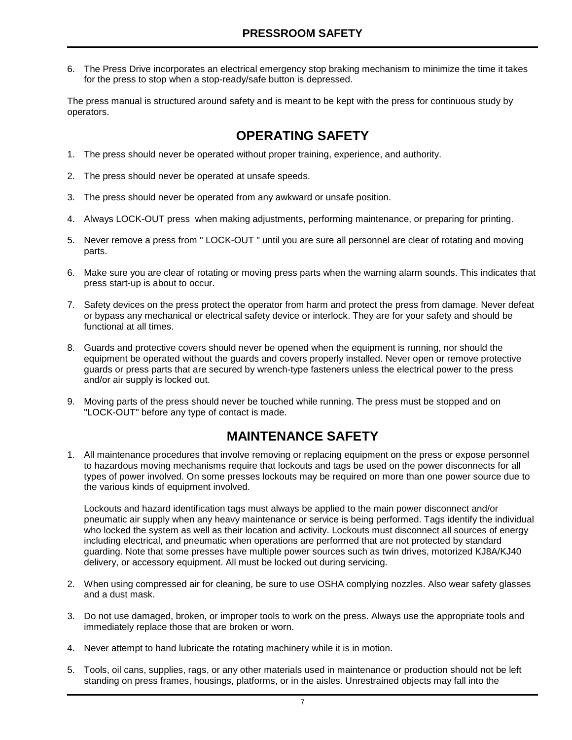6. The Press Drive incorporates an electrical emergency stop braking mechanism to minimize the time it takes for the press to stop when a stop-ready/safe button is depressed.

The press manual is structured around safety and is meant to be kept with the press for continuous study by operators.

# **OPERATING SAFETY**

- 1. The press should never be operated without proper training, experience, and authority.
- 2. The press should never be operated at unsafe speeds.
- 3. The press should never be operated from any awkward or unsafe position.
- 4. Always LOCK-OUT press when making adjustments, performing maintenance, or preparing for printing.
- 5. Never remove a press from " LOCK-OUT " until you are sure all personnel are clear of rotating and moving parts.
- 6. Make sure you are clear of rotating or moving press parts when the warning alarm sounds. This indicates that press start-up is about to occur.
- 7. Safety devices on the press protect the operator from harm and protect the press from damage. Never defeat or bypass any mechanical or electrical safety device or interlock. They are for your safety and should be functional at all times.
- 8. Guards and protective covers should never be opened when the equipment is running, nor should the equipment be operated without the guards and covers properly installed. Never open or remove protective guards or press parts that are secured by wrench-type fasteners unless the electrical power to the press and/or air supply is locked out.
- 9. Moving parts of the press should never be touched while running. The press must be stopped and on "LOCK-OUT" before any type of contact is made.

# **MAINTENANCE SAFETY**

1. All maintenance procedures that involve removing or replacing equipment on the press or expose personnel to hazardous moving mechanisms require that lockouts and tags be used on the power disconnects for all types of power involved. On some presses lockouts may be required on more than one power source due to the various kinds of equipment involved.

Lockouts and hazard identification tags must always be applied to the main power disconnect and/or pneumatic air supply when any heavy maintenance or service is being performed. Tags identify the individual who locked the system as well as their location and activity. Lockouts must disconnect all sources of energy including electrical, and pneumatic when operations are performed that are not protected by standard guarding. Note that some presses have multiple power sources such as twin drives, motorized KJ8A/KJ40 delivery, or accessory equipment. All must be locked out during servicing.

- 2. When using compressed air for cleaning, be sure to use OSHA complying nozzles. Also wear safety glasses and a dust mask.
- 3. Do not use damaged, broken, or improper tools to work on the press. Always use the appropriate tools and immediately replace those that are broken or worn.
- 4. Never attempt to hand lubricate the rotating machinery while it is in motion.
- 5. Tools, oil cans, supplies, rags, or any other materials used in maintenance or production should not be left standing on press frames, housings, platforms, or in the aisles. Unrestrained objects may fall into the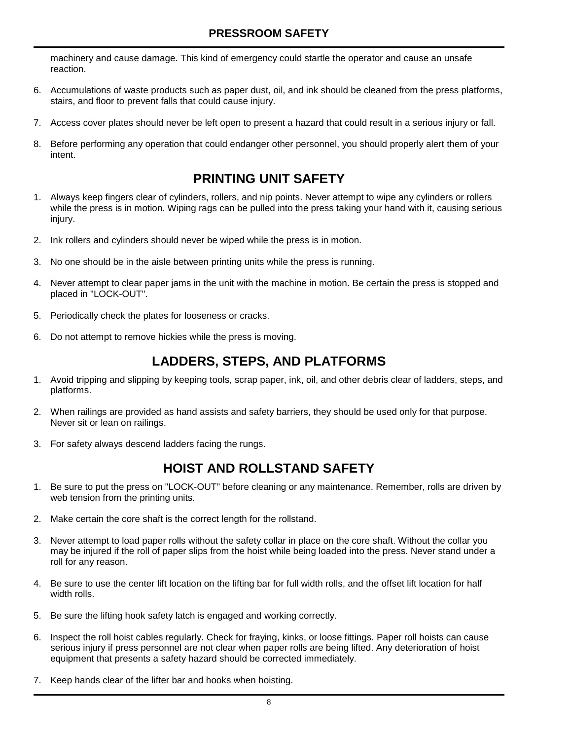machinery and cause damage. This kind of emergency could startle the operator and cause an unsafe reaction.

- 6. Accumulations of waste products such as paper dust, oil, and ink should be cleaned from the press platforms, stairs, and floor to prevent falls that could cause injury.
- 7. Access cover plates should never be left open to present a hazard that could result in a serious injury or fall.
- 8. Before performing any operation that could endanger other personnel, you should properly alert them of your intent.

# **PRINTING UNIT SAFETY**

- 1. Always keep fingers clear of cylinders, rollers, and nip points. Never attempt to wipe any cylinders or rollers while the press is in motion. Wiping rags can be pulled into the press taking your hand with it, causing serious injury.
- 2. Ink rollers and cylinders should never be wiped while the press is in motion.
- 3. No one should be in the aisle between printing units while the press is running.
- 4. Never attempt to clear paper jams in the unit with the machine in motion. Be certain the press is stopped and placed in "LOCK-OUT".
- 5. Periodically check the plates for looseness or cracks.
- 6. Do not attempt to remove hickies while the press is moving.

# **LADDERS, STEPS, AND PLATFORMS**

- 1. Avoid tripping and slipping by keeping tools, scrap paper, ink, oil, and other debris clear of ladders, steps, and platforms.
- 2. When railings are provided as hand assists and safety barriers, they should be used only for that purpose. Never sit or lean on railings.
- 3. For safety always descend ladders facing the rungs.

# **HOIST AND ROLLSTAND SAFETY**

- 1. Be sure to put the press on "LOCK-OUT" before cleaning or any maintenance. Remember, rolls are driven by web tension from the printing units.
- 2. Make certain the core shaft is the correct length for the rollstand.
- 3. Never attempt to load paper rolls without the safety collar in place on the core shaft. Without the collar you may be injured if the roll of paper slips from the hoist while being loaded into the press. Never stand under a roll for any reason.
- 4. Be sure to use the center lift location on the lifting bar for full width rolls, and the offset lift location for half width rolls.
- 5. Be sure the lifting hook safety latch is engaged and working correctly.
- 6. Inspect the roll hoist cables regularly. Check for fraying, kinks, or loose fittings. Paper roll hoists can cause serious injury if press personnel are not clear when paper rolls are being lifted. Any deterioration of hoist equipment that presents a safety hazard should be corrected immediately.
- 7. Keep hands clear of the lifter bar and hooks when hoisting.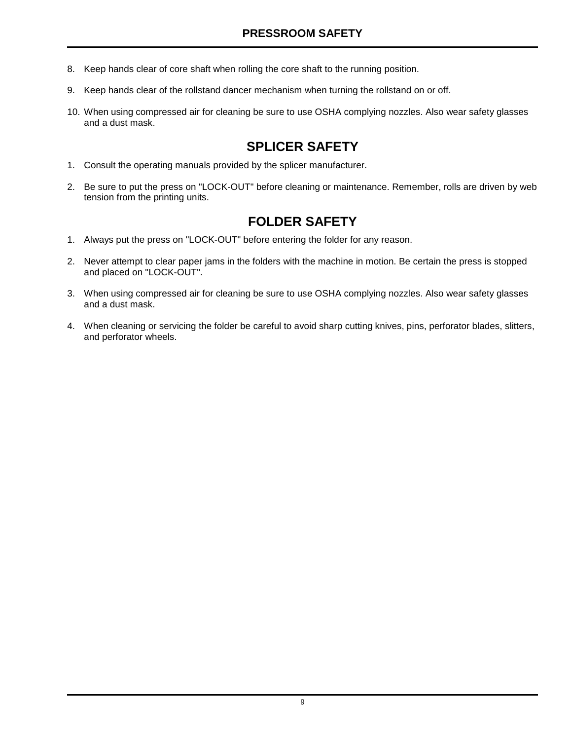- 8. Keep hands clear of core shaft when rolling the core shaft to the running position.
- 9. Keep hands clear of the rollstand dancer mechanism when turning the rollstand on or off.
- 10. When using compressed air for cleaning be sure to use OSHA complying nozzles. Also wear safety glasses and a dust mask.

# **SPLICER SAFETY**

- 1. Consult the operating manuals provided by the splicer manufacturer.
- 2. Be sure to put the press on "LOCK-OUT" before cleaning or maintenance. Remember, rolls are driven by web tension from the printing units.

# **FOLDER SAFETY**

- 1. Always put the press on "LOCK-OUT" before entering the folder for any reason.
- 2. Never attempt to clear paper jams in the folders with the machine in motion. Be certain the press is stopped and placed on "LOCK-OUT".
- 3. When using compressed air for cleaning be sure to use OSHA complying nozzles. Also wear safety glasses and a dust mask.
- 4. When cleaning or servicing the folder be careful to avoid sharp cutting knives, pins, perforator blades, slitters, and perforator wheels.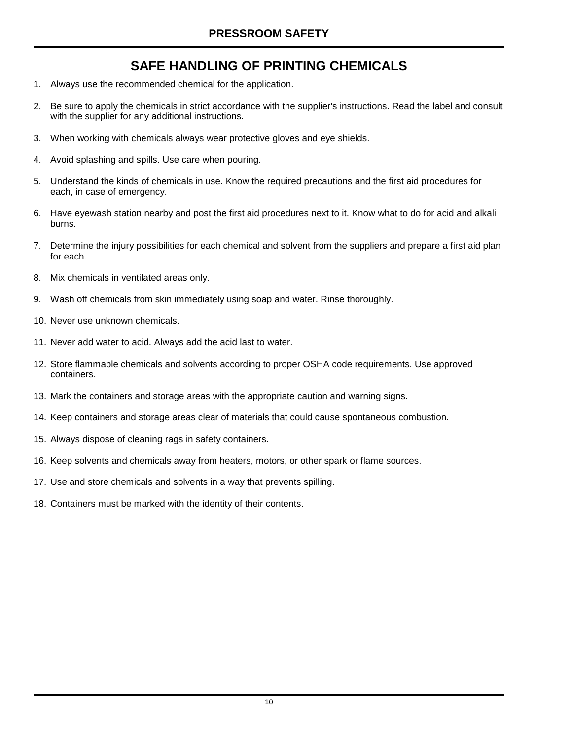# **SAFE HANDLING OF PRINTING CHEMICALS**

- 1. Always use the recommended chemical for the application.
- 2. Be sure to apply the chemicals in strict accordance with the supplier's instructions. Read the label and consult with the supplier for any additional instructions.
- 3. When working with chemicals always wear protective gloves and eye shields.
- 4. Avoid splashing and spills. Use care when pouring.
- 5. Understand the kinds of chemicals in use. Know the required precautions and the first aid procedures for each, in case of emergency.
- 6. Have eyewash station nearby and post the first aid procedures next to it. Know what to do for acid and alkali burns.
- 7. Determine the injury possibilities for each chemical and solvent from the suppliers and prepare a first aid plan for each.
- 8. Mix chemicals in ventilated areas only.
- 9. Wash off chemicals from skin immediately using soap and water. Rinse thoroughly.
- 10. Never use unknown chemicals.
- 11. Never add water to acid. Always add the acid last to water.
- 12. Store flammable chemicals and solvents according to proper OSHA code requirements. Use approved containers.
- 13. Mark the containers and storage areas with the appropriate caution and warning signs.
- 14. Keep containers and storage areas clear of materials that could cause spontaneous combustion.
- 15. Always dispose of cleaning rags in safety containers.
- 16. Keep solvents and chemicals away from heaters, motors, or other spark or flame sources.
- 17. Use and store chemicals and solvents in a way that prevents spilling.
- 18. Containers must be marked with the identity of their contents.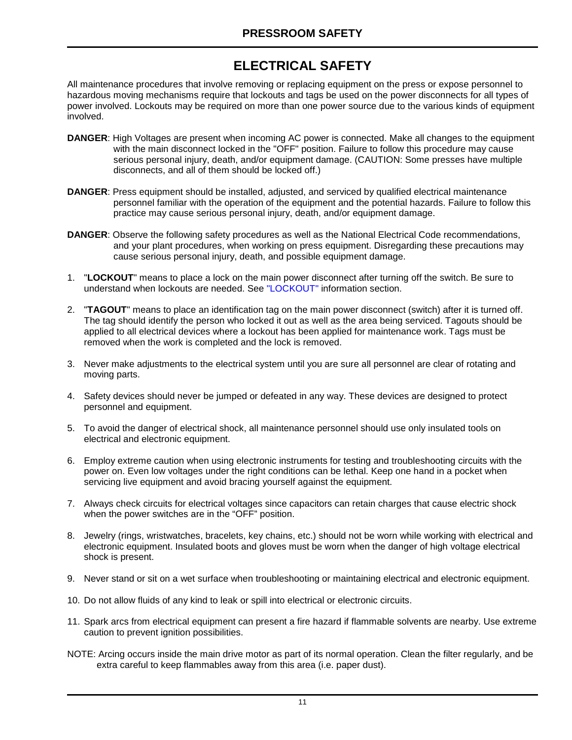## **PRESSROOM SAFETY**

# **ELECTRICAL SAFETY**

All maintenance procedures that involve removing or replacing equipment on the press or expose personnel to hazardous moving mechanisms require that lockouts and tags be used on the power disconnects for all types of power involved. Lockouts may be required on more than one power source due to the various kinds of equipment involved.

- **DANGER**: High Voltages are present when incoming AC power is connected. Make all changes to the equipment with the main disconnect locked in the "OFF" position. Failure to follow this procedure may cause serious personal injury, death, and/or equipment damage. (CAUTION: Some presses have multiple disconnects, and all of them should be locked off.)
- **DANGER**: Press equipment should be installed, adjusted, and serviced by qualified electrical maintenance personnel familiar with the operation of the equipment and the potential hazards. Failure to follow this practice may cause serious personal injury, death, and/or equipment damage.
- **DANGER**: Observe the following safety procedures as well as the National Electrical Code recommendations, and your plant procedures, when working on press equipment. Disregarding these precautions may cause serious personal injury, death, and possible equipment damage.
- 1. "**LOCKOUT**" means to place a lock on the main power disconnect after turning off the switch. Be sure to understand when lockouts are needed. See "LOCKOUT" information section.
- 2. "**TAGOUT**" means to place an identification tag on the main power disconnect (switch) after it is turned off. The tag should identify the person who locked it out as well as the area being serviced. Tagouts should be applied to all electrical devices where a lockout has been applied for maintenance work. Tags must be removed when the work is completed and the lock is removed.
- 3. Never make adjustments to the electrical system until you are sure all personnel are clear of rotating and moving parts.
- 4. Safety devices should never be jumped or defeated in any way. These devices are designed to protect personnel and equipment.
- 5. To avoid the danger of electrical shock, all maintenance personnel should use only insulated tools on electrical and electronic equipment.
- 6. Employ extreme caution when using electronic instruments for testing and troubleshooting circuits with the power on. Even low voltages under the right conditions can be lethal. Keep one hand in a pocket when servicing live equipment and avoid bracing yourself against the equipment.
- 7. Always check circuits for electrical voltages since capacitors can retain charges that cause electric shock when the power switches are in the "OFF" position.
- 8. Jewelry (rings, wristwatches, bracelets, key chains, etc.) should not be worn while working with electrical and electronic equipment. Insulated boots and gloves must be worn when the danger of high voltage electrical shock is present.
- 9. Never stand or sit on a wet surface when troubleshooting or maintaining electrical and electronic equipment.
- 10. Do not allow fluids of any kind to leak or spill into electrical or electronic circuits.
- 11. Spark arcs from electrical equipment can present a fire hazard if flammable solvents are nearby. Use extreme caution to prevent ignition possibilities.
- NOTE: Arcing occurs inside the main drive motor as part of its normal operation. Clean the filter regularly, and be extra careful to keep flammables away from this area (i.e. paper dust).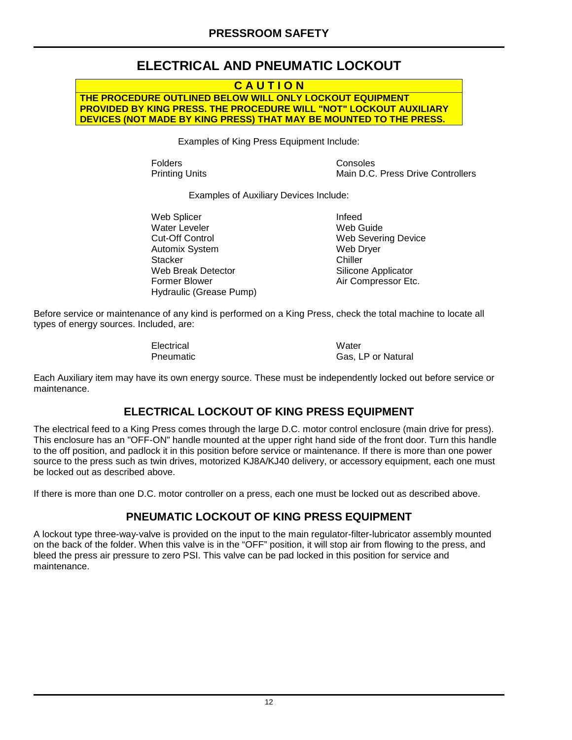# **ELECTRICAL AND PNEUMATIC LOCKOUT**

**C A U T I O N**

**THE PROCEDURE OUTLINED BELOW WILL ONLY LOCKOUT EQUIPMENT PROVIDED BY KING PRESS. THE PROCEDURE WILL "NOT" LOCKOUT AUXILIARY DEVICES (NOT MADE BY KING PRESS) THAT MAY BE MOUNTED TO THE PRESS.**

Examples of King Press Equipment Include:

Folders Consoles

Printing Units **Main D.C. Press Drive Controllers** Main D.C. Press Drive Controllers

Examples of Auxiliary Devices Include:

Web Splicer Infeed Water Leveler **Cut-Off Control Cut-Off Control Cut-Off Control Cut-Off Control Cut-Off Control** Automix System Web Dryer Stacker Web Break Detector Silicone Applicator Former Blower **Air Compressor Etc.** Hydraulic (Grease Pump)

Before service or maintenance of any kind is performed on a King Press, check the total machine to locate all types of energy sources. Included, are:

Electrical Water<br>
Pneumatic Gas. L

Gas, LP or Natural

Each Auxiliary item may have its own energy source. These must be independently locked out before service or maintenance.

# **ELECTRICAL LOCKOUT OF KING PRESS EQUIPMENT**

The electrical feed to a King Press comes through the large D.C. motor control enclosure (main drive for press). This enclosure has an "OFF-ON" handle mounted at the upper right hand side of the front door. Turn this handle to the off position, and padlock it in this position before service or maintenance. If there is more than one power source to the press such as twin drives, motorized KJ8A/KJ40 delivery, or accessory equipment, each one must be locked out as described above.

If there is more than one D.C. motor controller on a press, each one must be locked out as described above.

# **PNEUMATIC LOCKOUT OF KING PRESS EQUIPMENT**

A lockout type three-way-valve is provided on the input to the main regulator-filter-lubricator assembly mounted on the back of the folder. When this valve is in the "OFF" position, it will stop air from flowing to the press, and bleed the press air pressure to zero PSI. This valve can be pad locked in this position for service and maintenance.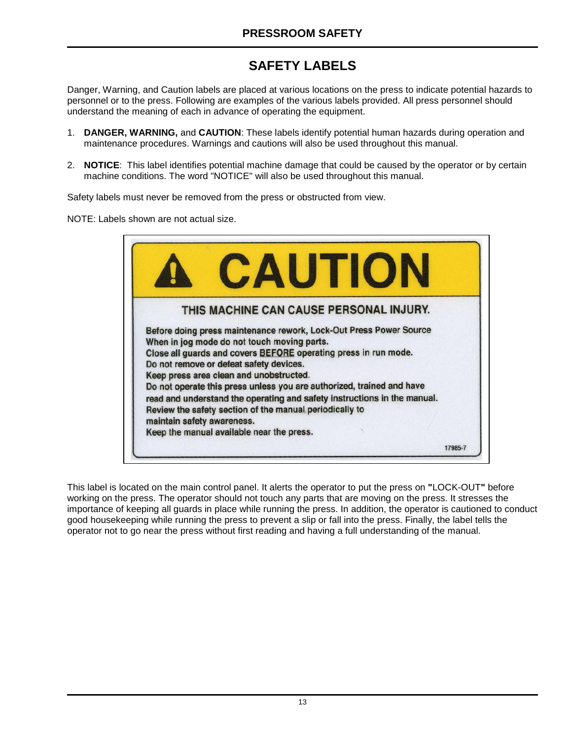# **SAFETY LABELS**

Danger, Warning, and Caution labels are placed at various locations on the press to indicate potential hazards to personnel or to the press. Following are examples of the various labels provided. All press personnel should understand the meaning of each in advance of operating the equipment.

- 1. **DANGER, WARNING,** and **CAUTION**: These labels identify potential human hazards during operation and maintenance procedures. Warnings and cautions will also be used throughout this manual.
- 2. **NOTICE**: This label identifies potential machine damage that could be caused by the operator or by certain machine conditions. The word "NOTICE" will also be used throughout this manual.

Safety labels must never be removed from the press or obstructed from view.

NOTE: Labels shown are not actual size.

| CAUTION                                                                                                                                                                                                                                                                                                                                                                                                                                                                                                                         |  |
|---------------------------------------------------------------------------------------------------------------------------------------------------------------------------------------------------------------------------------------------------------------------------------------------------------------------------------------------------------------------------------------------------------------------------------------------------------------------------------------------------------------------------------|--|
| THIS MACHINE CAN CAUSE PERSONAL INJURY.                                                                                                                                                                                                                                                                                                                                                                                                                                                                                         |  |
| Before doing press maintenance rework, Lock-Out Press Power Source<br>When in jog mode do not touch moving parts.<br>Close all guards and covers <b>BEFORE</b> operating press in run mode.<br>Do not remove or defeat safety devices.<br>Keep press area clean and unobstructed.<br>Do not operate this press unless you are authorized, trained and have<br>read and understand the operating and safety instructions in the manual.<br>Review the safety section of the manual periodically to<br>maintain safety awareness. |  |
| Keep the manual available near the press.                                                                                                                                                                                                                                                                                                                                                                                                                                                                                       |  |

This label is located on the main control panel. It alerts the operator to put the press on **"**LOCK-OUT**"** before working on the press. The operator should not touch any parts that are moving on the press. It stresses the importance of keeping all guards in place while running the press. In addition, the operator is cautioned to conduct good housekeeping while running the press to prevent a slip or fall into the press. Finally, the label tells the operator not to go near the press without first reading and having a full understanding of the manual.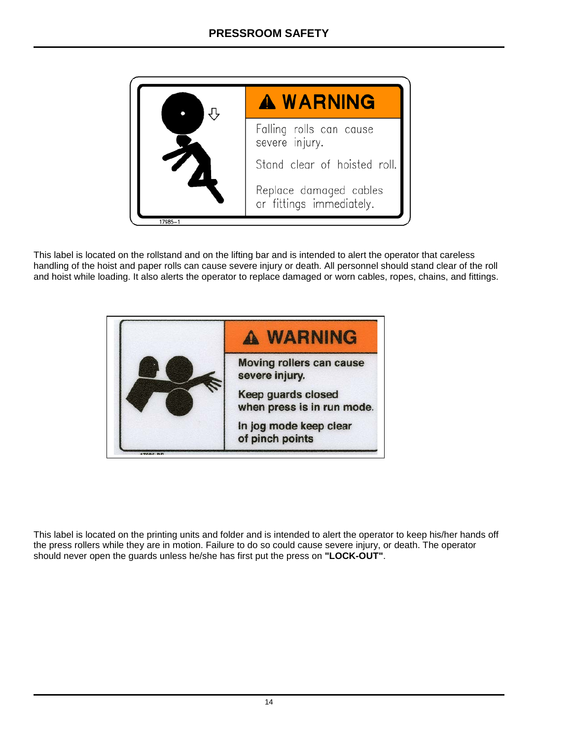

This label is located on the rollstand and on the lifting bar and is intended to alert the operator that careless handling of the hoist and paper rolls can cause severe injury or death. All personnel should stand clear of the roll and hoist while loading. It also alerts the operator to replace damaged or worn cables, ropes, chains, and fittings.



This label is located on the printing units and folder and is intended to alert the operator to keep his/her hands off the press rollers while they are in motion. Failure to do so could cause severe injury, or death. The operator should never open the guards unless he/she has first put the press on **"LOCK-OUT"**.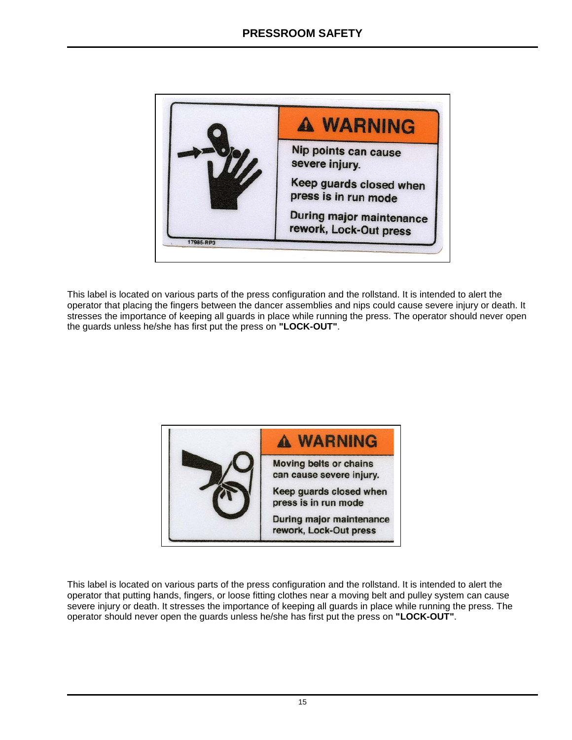

This label is located on various parts of the press configuration and the rollstand. It is intended to alert the operator that placing the fingers between the dancer assemblies and nips could cause severe injury or death. It stresses the importance of keeping all guards in place while running the press. The operator should never open the guards unless he/she has first put the press on **"LOCK-OUT"**.



This label is located on various parts of the press configuration and the rollstand. It is intended to alert the operator that putting hands, fingers, or loose fitting clothes near a moving belt and pulley system can cause severe injury or death. It stresses the importance of keeping all guards in place while running the press. The operator should never open the guards unless he/she has first put the press on **"LOCK-OUT"**.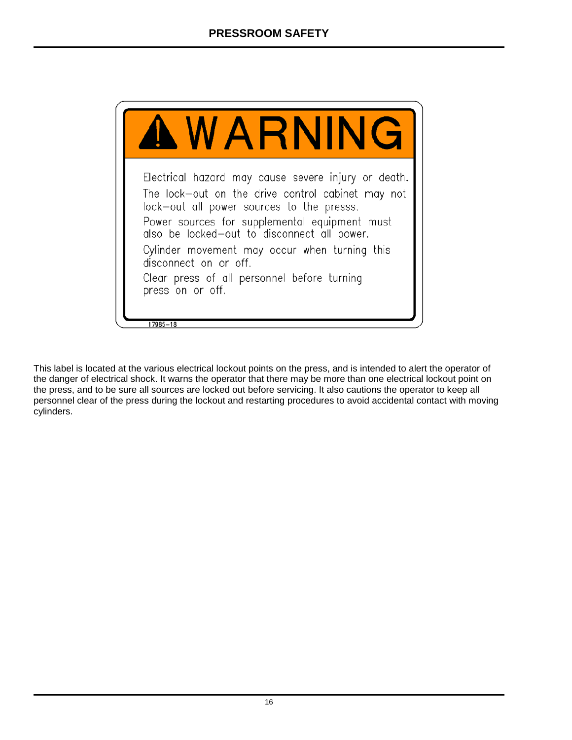

This label is located at the various electrical lockout points on the press, and is intended to alert the operator of the danger of electrical shock. It warns the operator that there may be more than one electrical lockout point on the press, and to be sure all sources are locked out before servicing. It also cautions the operator to keep all personnel clear of the press during the lockout and restarting procedures to avoid accidental contact with moving cylinders.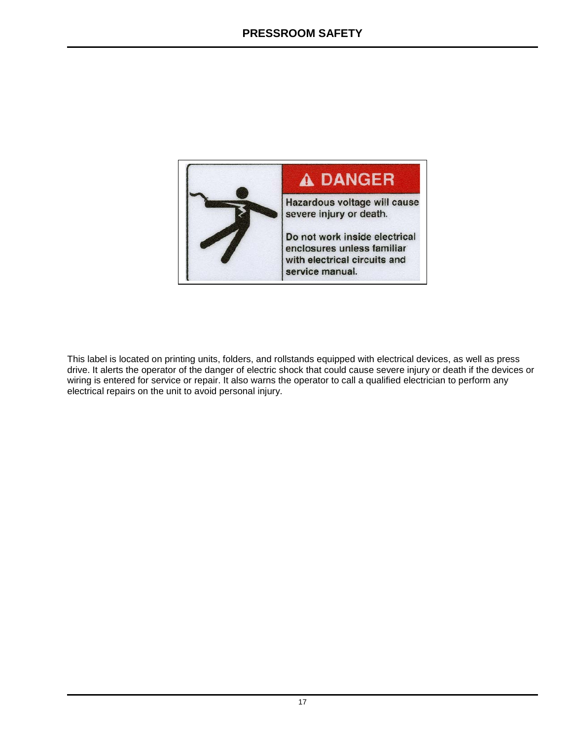

This label is located on printing units, folders, and rollstands equipped with electrical devices, as well as press drive. It alerts the operator of the danger of electric shock that could cause severe injury or death if the devices or wiring is entered for service or repair. It also warns the operator to call a qualified electrician to perform any electrical repairs on the unit to avoid personal injury.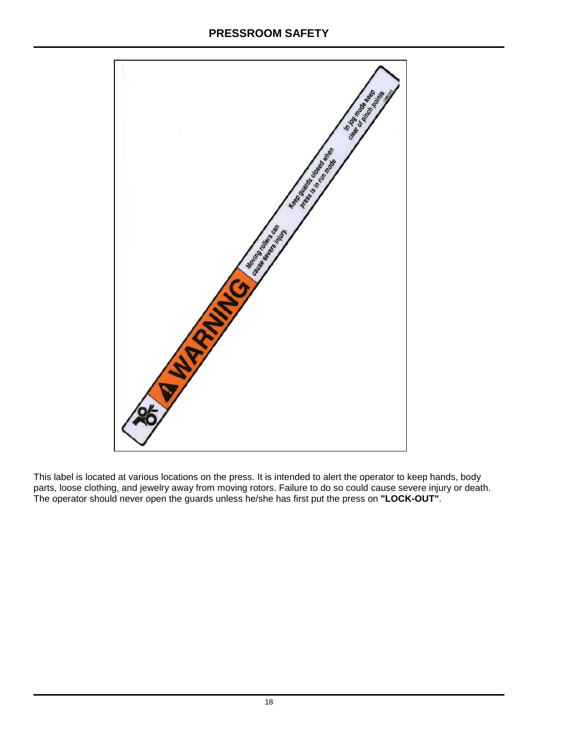

This label is located at various locations on the press. It is intended to alert the operator to keep hands, body parts, loose clothing, and jewelry away from moving rotors. Failure to do so could cause severe injury or death. The operator should never open the guards unless he/she has first put the press on **"LOCK-OUT"**.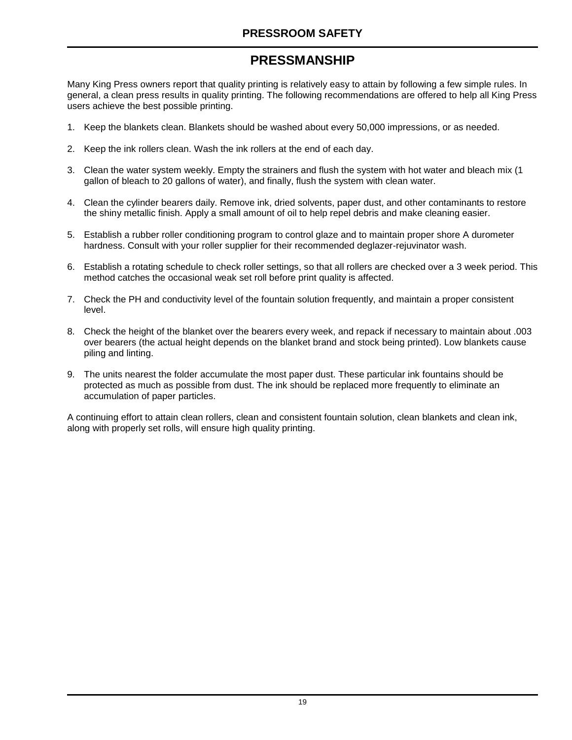# **PRESSMANSHIP**

Many King Press owners report that quality printing is relatively easy to attain by following a few simple rules. In general, a clean press results in quality printing. The following recommendations are offered to help all King Press users achieve the best possible printing.

- 1. Keep the blankets clean. Blankets should be washed about every 50,000 impressions, or as needed.
- 2. Keep the ink rollers clean. Wash the ink rollers at the end of each day.
- 3. Clean the water system weekly. Empty the strainers and flush the system with hot water and bleach mix (1 gallon of bleach to 20 gallons of water), and finally, flush the system with clean water.
- 4. Clean the cylinder bearers daily. Remove ink, dried solvents, paper dust, and other contaminants to restore the shiny metallic finish. Apply a small amount of oil to help repel debris and make cleaning easier.
- 5. Establish a rubber roller conditioning program to control glaze and to maintain proper shore A durometer hardness. Consult with your roller supplier for their recommended deglazer-rejuvinator wash.
- 6. Establish a rotating schedule to check roller settings, so that all rollers are checked over a 3 week period. This method catches the occasional weak set roll before print quality is affected.
- 7. Check the PH and conductivity level of the fountain solution frequently, and maintain a proper consistent level.
- 8. Check the height of the blanket over the bearers every week, and repack if necessary to maintain about .003 over bearers (the actual height depends on the blanket brand and stock being printed). Low blankets cause piling and linting.
- 9. The units nearest the folder accumulate the most paper dust. These particular ink fountains should be protected as much as possible from dust. The ink should be replaced more frequently to eliminate an accumulation of paper particles.

A continuing effort to attain clean rollers, clean and consistent fountain solution, clean blankets and clean ink, along with properly set rolls, will ensure high quality printing.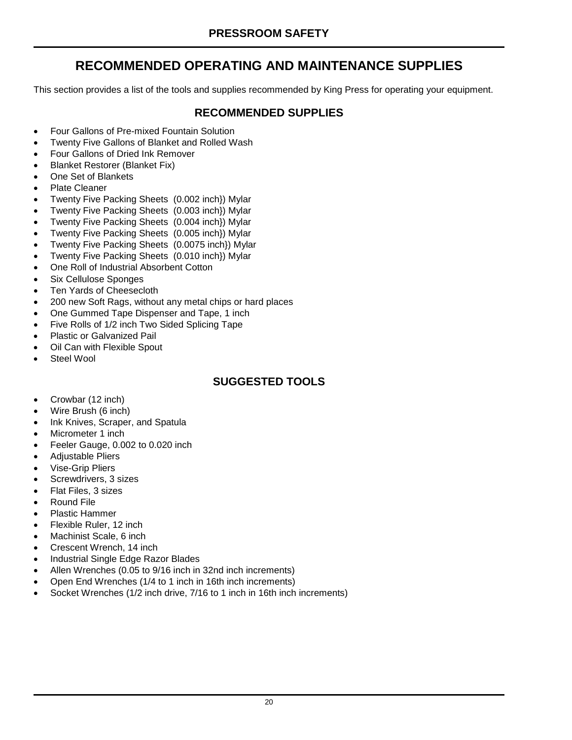# **RECOMMENDED OPERATING AND MAINTENANCE SUPPLIES**

This section provides a list of the tools and supplies recommended by King Press for operating your equipment.

### **RECOMMENDED SUPPLIES**

- Four Gallons of Pre-mixed Fountain Solution
- Twenty Five Gallons of Blanket and Rolled Wash
- Four Gallons of Dried Ink Remover
- Blanket Restorer (Blanket Fix)
- One Set of Blankets
- Plate Cleaner
- Twenty Five Packing Sheets (0.002 inch}) Mylar
- Twenty Five Packing Sheets (0.003 inch}) Mylar
- Twenty Five Packing Sheets (0.004 inch}) Mylar
- Twenty Five Packing Sheets (0.005 inch}) Mylar
- Twenty Five Packing Sheets (0.0075 inch}) Mylar
- Twenty Five Packing Sheets (0.010 inch}) Mylar
- One Roll of Industrial Absorbent Cotton
- Six Cellulose Sponges
- Ten Yards of Cheesecloth
- 200 new Soft Rags, without any metal chips or hard places
- One Gummed Tape Dispenser and Tape, 1 inch
- Five Rolls of 1/2 inch Two Sided Splicing Tape
- Plastic or Galvanized Pail
- Oil Can with Flexible Spout
- Steel Wool

# **SUGGESTED TOOLS**

- Crowbar (12 inch)
- Wire Brush (6 inch)
- Ink Knives, Scraper, and Spatula
- Micrometer 1 inch
- Feeler Gauge, 0.002 to 0.020 inch
- Adjustable Pliers
- Vise-Grip Pliers
- Screwdrivers, 3 sizes
- Flat Files, 3 sizes
- Round File
- Plastic Hammer
- Flexible Ruler, 12 inch
- Machinist Scale, 6 inch
- Crescent Wrench, 14 inch
- Industrial Single Edge Razor Blades
- Allen Wrenches (0.05 to 9/16 inch in 32nd inch increments)
- Open End Wrenches (1/4 to 1 inch in 16th inch increments)
- Socket Wrenches (1/2 inch drive, 7/16 to 1 inch in 16th inch increments)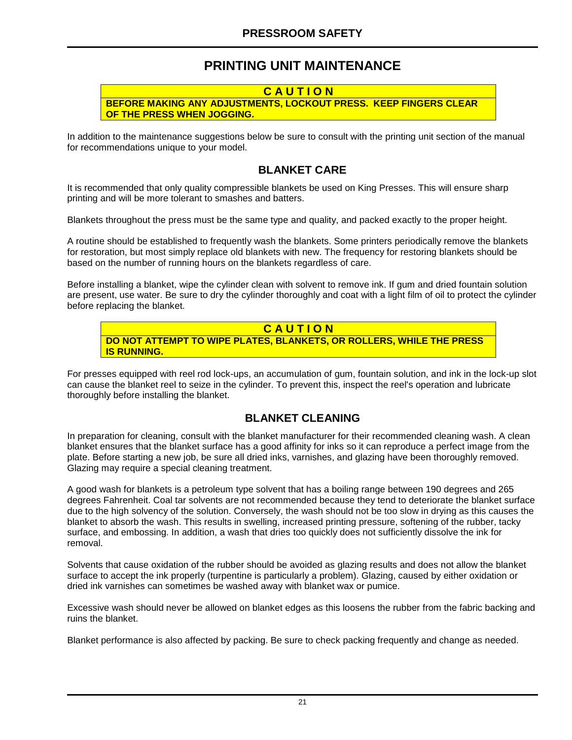# **PRINTING UNIT MAINTENANCE**



In addition to the maintenance suggestions below be sure to consult with the printing unit section of the manual for recommendations unique to your model.

#### **BLANKET CARE**

It is recommended that only quality compressible blankets be used on King Presses. This will ensure sharp printing and will be more tolerant to smashes and batters.

Blankets throughout the press must be the same type and quality, and packed exactly to the proper height.

A routine should be established to frequently wash the blankets. Some printers periodically remove the blankets for restoration, but most simply replace old blankets with new. The frequency for restoring blankets should be based on the number of running hours on the blankets regardless of care.

Before installing a blanket, wipe the cylinder clean with solvent to remove ink. If gum and dried fountain solution are present, use water. Be sure to dry the cylinder thoroughly and coat with a light film of oil to protect the cylinder before replacing the blanket.

**C A U T I O N DO NOT ATTEMPT TO WIPE PLATES, BLANKETS, OR ROLLERS, WHILE THE PRESS IS RUNNING.**

For presses equipped with reel rod lock-ups, an accumulation of gum, fountain solution, and ink in the lock-up slot can cause the blanket reel to seize in the cylinder. To prevent this, inspect the reel's operation and lubricate thoroughly before installing the blanket.

### **BLANKET CLEANING**

In preparation for cleaning, consult with the blanket manufacturer for their recommended cleaning wash. A clean blanket ensures that the blanket surface has a good affinity for inks so it can reproduce a perfect image from the plate. Before starting a new job, be sure all dried inks, varnishes, and glazing have been thoroughly removed. Glazing may require a special cleaning treatment.

A good wash for blankets is a petroleum type solvent that has a boiling range between 190 degrees and 265 degrees Fahrenheit. Coal tar solvents are not recommended because they tend to deteriorate the blanket surface due to the high solvency of the solution. Conversely, the wash should not be too slow in drying as this causes the blanket to absorb the wash. This results in swelling, increased printing pressure, softening of the rubber, tacky surface, and embossing. In addition, a wash that dries too quickly does not sufficiently dissolve the ink for removal.

Solvents that cause oxidation of the rubber should be avoided as glazing results and does not allow the blanket surface to accept the ink properly (turpentine is particularly a problem). Glazing, caused by either oxidation or dried ink varnishes can sometimes be washed away with blanket wax or pumice.

Excessive wash should never be allowed on blanket edges as this loosens the rubber from the fabric backing and ruins the blanket.

Blanket performance is also affected by packing. Be sure to check packing frequently and change as needed.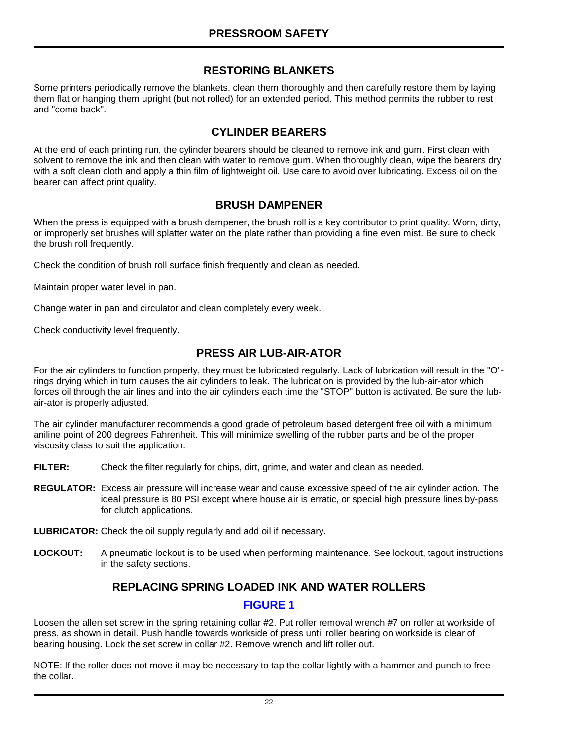#### **RESTORING BLANKETS**

Some printers periodically remove the blankets, clean them thoroughly and then carefully restore them by laying them flat or hanging them upright (but not rolled) for an extended period. This method permits the rubber to rest and "come back".

#### **CYLINDER BEARERS**

At the end of each printing run, the cylinder bearers should be cleaned to remove ink and gum. First clean with solvent to remove the ink and then clean with water to remove gum. When thoroughly clean, wipe the bearers dry with a soft clean cloth and apply a thin film of lightweight oil. Use care to avoid over lubricating. Excess oil on the bearer can affect print quality.

#### **BRUSH DAMPENER**

When the press is equipped with a brush dampener, the brush roll is a key contributor to print quality. Worn, dirty, or improperly set brushes will splatter water on the plate rather than providing a fine even mist. Be sure to check the brush roll frequently.

Check the condition of brush roll surface finish frequently and clean as needed.

Maintain proper water level in pan.

Change water in pan and circulator and clean completely every week.

Check conductivity level frequently.

#### **PRESS AIR LUB-AIR-ATOR**

For the air cylinders to function properly, they must be lubricated regularly. Lack of lubrication will result in the "O" rings drying which in turn causes the air cylinders to leak. The lubrication is provided by the lub-air-ator which forces oil through the air lines and into the air cylinders each time the "STOP" button is activated. Be sure the lubair-ator is properly adjusted.

The air cylinder manufacturer recommends a good grade of petroleum based detergent free oil with a minimum aniline point of 200 degrees Fahrenheit. This will minimize swelling of the rubber parts and be of the proper viscosity class to suit the application.

- **FILTER:** Check the filter regularly for chips, dirt, grime, and water and clean as needed.
- **REGULATOR:** Excess air pressure will increase wear and cause excessive speed of the air cylinder action. The ideal pressure is 80 PSI except where house air is erratic, or special high pressure lines by-pass for clutch applications.

**LUBRICATOR:** Check the oil supply regularly and add oil if necessary.

LOCKOUT: A pneumatic lockout is to be used when performing maintenance. See lockout, tagout instructions in the safety sections.

#### **REPLACING SPRING LOADED INK AND WATER ROLLERS**

#### **FIGURE 1**

Loosen the allen set screw in the spring retaining collar #2. Put roller removal wrench #7 on roller at workside of press, as shown in detail. Push handle towards workside of press until roller bearing on workside is clear of bearing housing. Lock the set screw in collar #2. Remove wrench and lift roller out.

NOTE: If the roller does not move it may be necessary to tap the collar lightly with a hammer and punch to free the collar.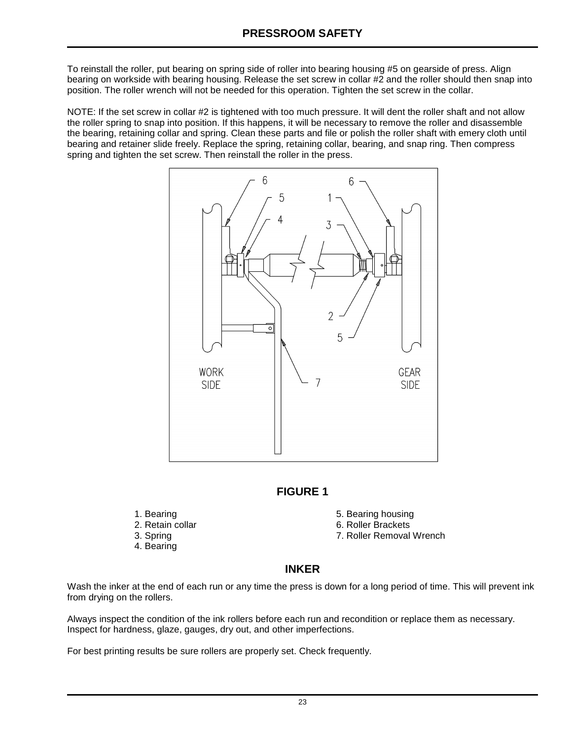To reinstall the roller, put bearing on spring side of roller into bearing housing #5 on gearside of press. Align bearing on workside with bearing housing. Release the set screw in collar #2 and the roller should then snap into position. The roller wrench will not be needed for this operation. Tighten the set screw in the collar.

NOTE: If the set screw in collar #2 is tightened with too much pressure. It will dent the roller shaft and not allow the roller spring to snap into position. If this happens, it will be necessary to remove the roller and disassemble the bearing, retaining collar and spring. Clean these parts and file or polish the roller shaft with emery cloth until bearing and retainer slide freely. Replace the spring, retaining collar, bearing, and snap ring. Then compress spring and tighten the set screw. Then reinstall the roller in the press.



#### **FIGURE 1**

- 
- 
- 
- 4. Bearing
- 
- 1. Bearing 1. Bearing bousing 5. Bearing housing 2. Retain collar collar to the state of the state of the state of the state of the state of the state of the state of the state of the state of the state of the state of the 6. Roller Brackets
- 3. Spring 3. Spring 2. Roller Removal Wrench

### **INKER**

Wash the inker at the end of each run or any time the press is down for a long period of time. This will prevent ink from drying on the rollers.

Always inspect the condition of the ink rollers before each run and recondition or replace them as necessary. Inspect for hardness, glaze, gauges, dry out, and other imperfections.

For best printing results be sure rollers are properly set. Check frequently.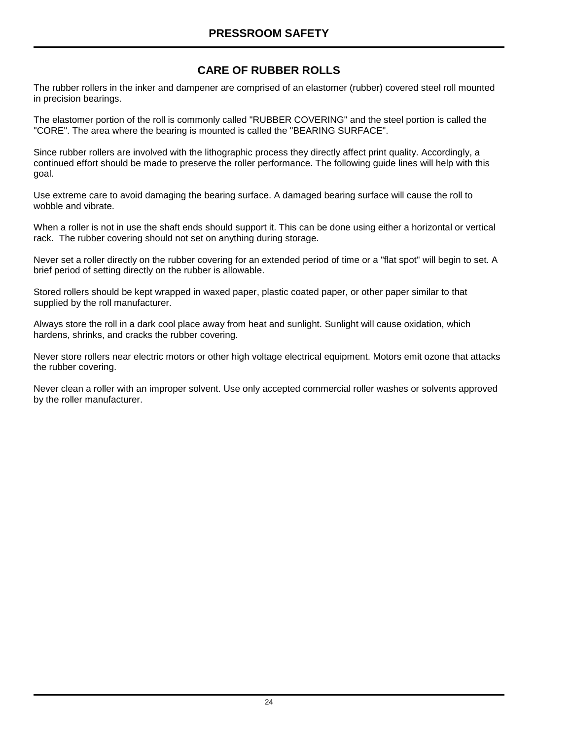### **CARE OF RUBBER ROLLS**

The rubber rollers in the inker and dampener are comprised of an elastomer (rubber) covered steel roll mounted in precision bearings.

The elastomer portion of the roll is commonly called "RUBBER COVERING" and the steel portion is called the "CORE". The area where the bearing is mounted is called the "BEARING SURFACE".

Since rubber rollers are involved with the lithographic process they directly affect print quality. Accordingly, a continued effort should be made to preserve the roller performance. The following guide lines will help with this goal.

Use extreme care to avoid damaging the bearing surface. A damaged bearing surface will cause the roll to wobble and vibrate.

When a roller is not in use the shaft ends should support it. This can be done using either a horizontal or vertical rack. The rubber covering should not set on anything during storage.

Never set a roller directly on the rubber covering for an extended period of time or a "flat spot" will begin to set. A brief period of setting directly on the rubber is allowable.

Stored rollers should be kept wrapped in waxed paper, plastic coated paper, or other paper similar to that supplied by the roll manufacturer.

Always store the roll in a dark cool place away from heat and sunlight. Sunlight will cause oxidation, which hardens, shrinks, and cracks the rubber covering.

Never store rollers near electric motors or other high voltage electrical equipment. Motors emit ozone that attacks the rubber covering.

Never clean a roller with an improper solvent. Use only accepted commercial roller washes or solvents approved by the roller manufacturer.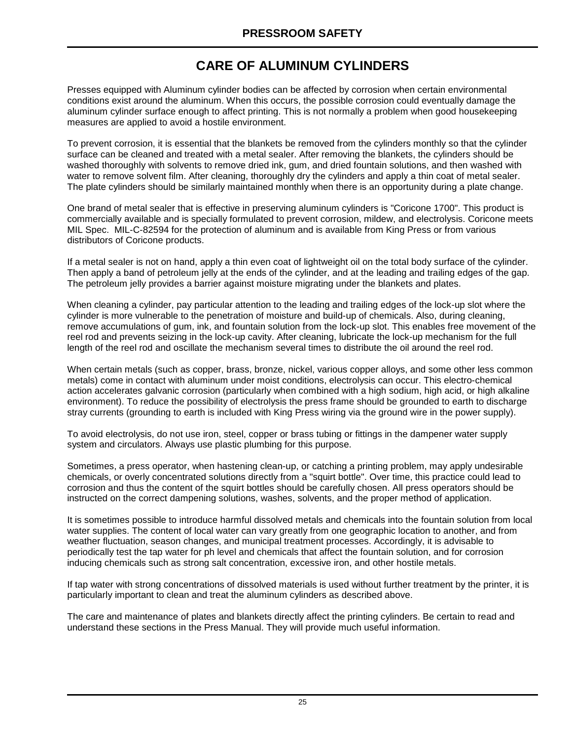# **CARE OF ALUMINUM CYLINDERS**

Presses equipped with Aluminum cylinder bodies can be affected by corrosion when certain environmental conditions exist around the aluminum. When this occurs, the possible corrosion could eventually damage the aluminum cylinder surface enough to affect printing. This is not normally a problem when good housekeeping measures are applied to avoid a hostile environment.

To prevent corrosion, it is essential that the blankets be removed from the cylinders monthly so that the cylinder surface can be cleaned and treated with a metal sealer. After removing the blankets, the cylinders should be washed thoroughly with solvents to remove dried ink, gum, and dried fountain solutions, and then washed with water to remove solvent film. After cleaning, thoroughly dry the cylinders and apply a thin coat of metal sealer. The plate cylinders should be similarly maintained monthly when there is an opportunity during a plate change.

One brand of metal sealer that is effective in preserving aluminum cylinders is "Coricone 1700". This product is commercially available and is specially formulated to prevent corrosion, mildew, and electrolysis. Coricone meets MIL Spec. MIL-C-82594 for the protection of aluminum and is available from King Press or from various distributors of Coricone products.

If a metal sealer is not on hand, apply a thin even coat of lightweight oil on the total body surface of the cylinder. Then apply a band of petroleum jelly at the ends of the cylinder, and at the leading and trailing edges of the gap. The petroleum jelly provides a barrier against moisture migrating under the blankets and plates.

When cleaning a cylinder, pay particular attention to the leading and trailing edges of the lock-up slot where the cylinder is more vulnerable to the penetration of moisture and build-up of chemicals. Also, during cleaning, remove accumulations of gum, ink, and fountain solution from the lock-up slot. This enables free movement of the reel rod and prevents seizing in the lock-up cavity. After cleaning, lubricate the lock-up mechanism for the full length of the reel rod and oscillate the mechanism several times to distribute the oil around the reel rod.

When certain metals (such as copper, brass, bronze, nickel, various copper alloys, and some other less common metals) come in contact with aluminum under moist conditions, electrolysis can occur. This electro-chemical action accelerates galvanic corrosion (particularly when combined with a high sodium, high acid, or high alkaline environment). To reduce the possibility of electrolysis the press frame should be grounded to earth to discharge stray currents (grounding to earth is included with King Press wiring via the ground wire in the power supply).

To avoid electrolysis, do not use iron, steel, copper or brass tubing or fittings in the dampener water supply system and circulators. Always use plastic plumbing for this purpose.

Sometimes, a press operator, when hastening clean-up, or catching a printing problem, may apply undesirable chemicals, or overly concentrated solutions directly from a "squirt bottle". Over time, this practice could lead to corrosion and thus the content of the squirt bottles should be carefully chosen. All press operators should be instructed on the correct dampening solutions, washes, solvents, and the proper method of application.

It is sometimes possible to introduce harmful dissolved metals and chemicals into the fountain solution from local water supplies. The content of local water can vary greatly from one geographic location to another, and from weather fluctuation, season changes, and municipal treatment processes. Accordingly, it is advisable to periodically test the tap water for ph level and chemicals that affect the fountain solution, and for corrosion inducing chemicals such as strong salt concentration, excessive iron, and other hostile metals.

If tap water with strong concentrations of dissolved materials is used without further treatment by the printer, it is particularly important to clean and treat the aluminum cylinders as described above.

The care and maintenance of plates and blankets directly affect the printing cylinders. Be certain to read and understand these sections in the Press Manual. They will provide much useful information.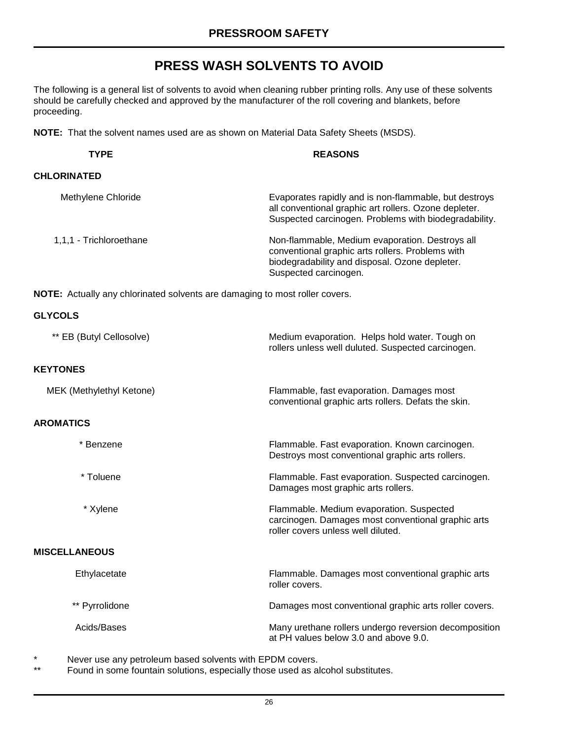# **PRESS WASH SOLVENTS TO AVOID**

The following is a general list of solvents to avoid when cleaning rubber printing rolls. Any use of these solvents should be carefully checked and approved by the manufacturer of the roll covering and blankets, before proceeding.

**NOTE:** That the solvent names used are as shown on Material Data Safety Sheets (MSDS).

| <b>TYPE</b>             | <b>REASONS</b>                                                                                                                                                                 |
|-------------------------|--------------------------------------------------------------------------------------------------------------------------------------------------------------------------------|
| <b>CHLORINATED</b>      |                                                                                                                                                                                |
| Methylene Chloride      | Evaporates rapidly and is non-flammable, but destroys<br>all conventional graphic art rollers. Ozone depleter.<br>Suspected carcinogen. Problems with biodegradability.        |
| 1,1,1 - Trichloroethane | Non-flammable, Medium evaporation. Destroys all<br>conventional graphic arts rollers. Problems with<br>biodegradability and disposal. Ozone depleter.<br>Suspected carcinogen. |

**NOTE:** Actually any chlorinated solvents are damaging to most roller covers.

#### **GLYCOLS**

| ** EB (Butyl Cellosolve) | Medium evaporation. Helps hold water. Tough on<br>rollers unless well duluted. Suspected carcinogen.                                 |  |
|--------------------------|--------------------------------------------------------------------------------------------------------------------------------------|--|
| <b>KEYTONES</b>          |                                                                                                                                      |  |
| MEK (Methylethyl Ketone) | Flammable, fast evaporation. Damages most<br>conventional graphic arts rollers. Defats the skin.                                     |  |
| <b>AROMATICS</b>         |                                                                                                                                      |  |
| * Benzene                | Flammable. Fast evaporation. Known carcinogen.<br>Destroys most conventional graphic arts rollers.                                   |  |
| * Toluene                | Flammable. Fast evaporation. Suspected carcinogen.<br>Damages most graphic arts rollers.                                             |  |
| * Xylene                 | Flammable. Medium evaporation. Suspected<br>carcinogen. Damages most conventional graphic arts<br>roller covers unless well diluted. |  |
| <b>MISCELLANEOUS</b>     |                                                                                                                                      |  |
| Ethylacetate             | Flammable. Damages most conventional graphic arts<br>roller covers.                                                                  |  |
| ** Pyrrolidone           | Damages most conventional graphic arts roller covers.                                                                                |  |
| Acids/Bases              | Many urethane rollers undergo reversion decomposition<br>at PH values below 3.0 and above 9.0.                                       |  |

\* Never use any petroleum based solvents with EPDM covers.

Found in some fountain solutions, especially those used as alcohol substitutes.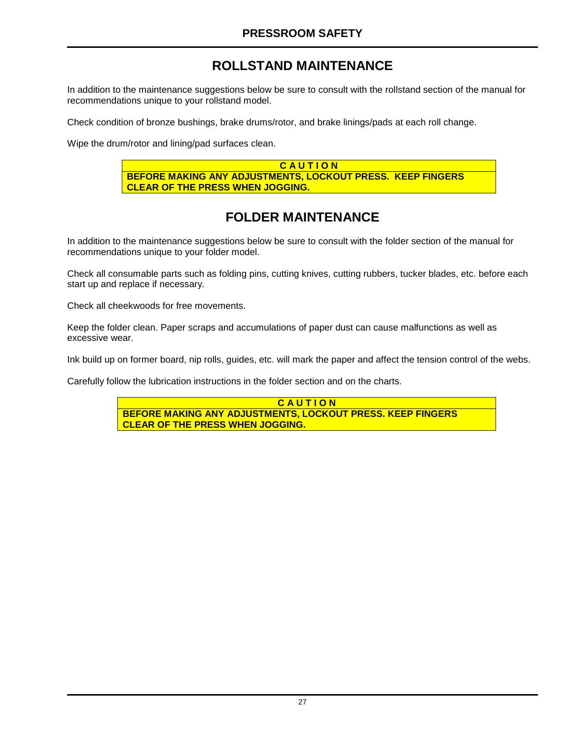# **ROLLSTAND MAINTENANCE**

In addition to the maintenance suggestions below be sure to consult with the rollstand section of the manual for recommendations unique to your rollstand model.

Check condition of bronze bushings, brake drums/rotor, and brake linings/pads at each roll change.

Wipe the drum/rotor and lining/pad surfaces clean.

**C A U T I O N BEFORE MAKING ANY ADJUSTMENTS, LOCKOUT PRESS. KEEP FINGERS CLEAR OF THE PRESS WHEN JOGGING.**

# **FOLDER MAINTENANCE**

In addition to the maintenance suggestions below be sure to consult with the folder section of the manual for recommendations unique to your folder model.

Check all consumable parts such as folding pins, cutting knives, cutting rubbers, tucker blades, etc. before each start up and replace if necessary.

Check all cheekwoods for free movements.

Keep the folder clean. Paper scraps and accumulations of paper dust can cause malfunctions as well as excessive wear.

Ink build up on former board, nip rolls, guides, etc. will mark the paper and affect the tension control of the webs.

Carefully follow the lubrication instructions in the folder section and on the charts.

**C A U T I O N BEFORE MAKING ANY ADJUSTMENTS, LOCKOUT PRESS. KEEP FINGERS CLEAR OF THE PRESS WHEN JOGGING.**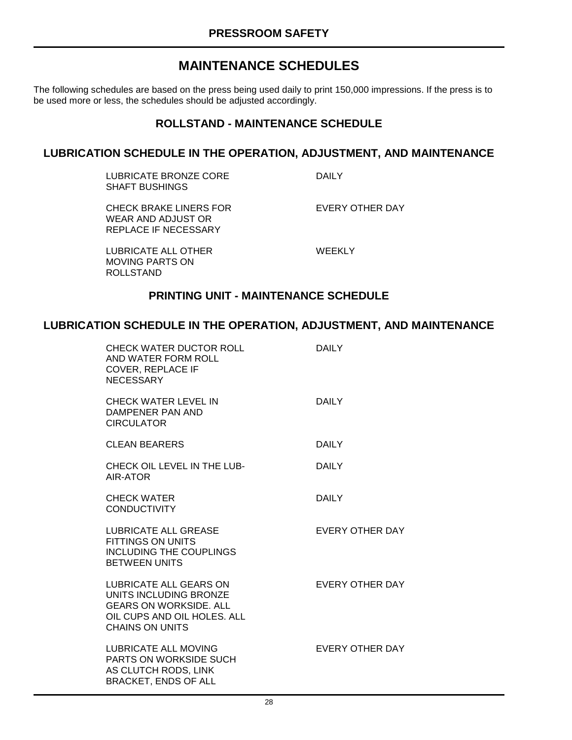# **MAINTENANCE SCHEDULES**

The following schedules are based on the press being used daily to print 150,000 impressions. If the press is to be used more or less, the schedules should be adjusted accordingly.

### **ROLLSTAND - MAINTENANCE SCHEDULE**

#### **LUBRICATION SCHEDULE IN THE OPERATION, ADJUSTMENT, AND MAINTENANCE**

LUBRICATE BRONZE CORE SHAFT BUSHINGS

DAILY

CHECK BRAKE LINERS FOR WEAR AND ADJUST OR REPLACE IF NECESSARY

EVERY OTHER DAY

LUBRICATE ALL OTHER MOVING PARTS ON ROLLSTAND

WEEKLY

#### **PRINTING UNIT - MAINTENANCE SCHEDULE**

### **LUBRICATION SCHEDULE IN THE OPERATION, ADJUSTMENT, AND MAINTENANCE**

| <b>CHECK WATER DUCTOR ROLL</b><br>AND WATER FORM ROLL<br><b>COVER, REPLACE IF</b><br><b>NECESSARY</b>                                      | <b>DAILY</b>    |
|--------------------------------------------------------------------------------------------------------------------------------------------|-----------------|
| CHECK WATER LEVEL IN<br>DAMPENER PAN AND<br><b>CIRCULATOR</b>                                                                              | <b>DAILY</b>    |
| CLEAN BEARERS                                                                                                                              | <b>DAILY</b>    |
| CHECK OIL LEVEL IN THE LUB-<br>AIR-ATOR                                                                                                    | <b>DAILY</b>    |
| CHECK WATER<br><b>CONDUCTIVITY</b>                                                                                                         | <b>DAILY</b>    |
| <b>LUBRICATE ALL GREASE</b><br>FITTINGS ON UNITS<br><b>INCLUDING THE COUPLINGS</b><br><b>BETWEEN UNITS</b>                                 | EVERY OTHER DAY |
| LUBRICATE ALL GEARS ON<br>UNITS INCLUDING BRONZE<br><b>GEARS ON WORKSIDE, ALL</b><br>OIL CUPS AND OIL HOLES. ALL<br><b>CHAINS ON UNITS</b> | EVERY OTHER DAY |
| <b>LUBRICATE ALL MOVING</b><br>PARTS ON WORKSIDE SUCH<br>AS CLUTCH RODS, LINK<br><b>BRACKET, ENDS OF ALL</b>                               | EVERY OTHER DAY |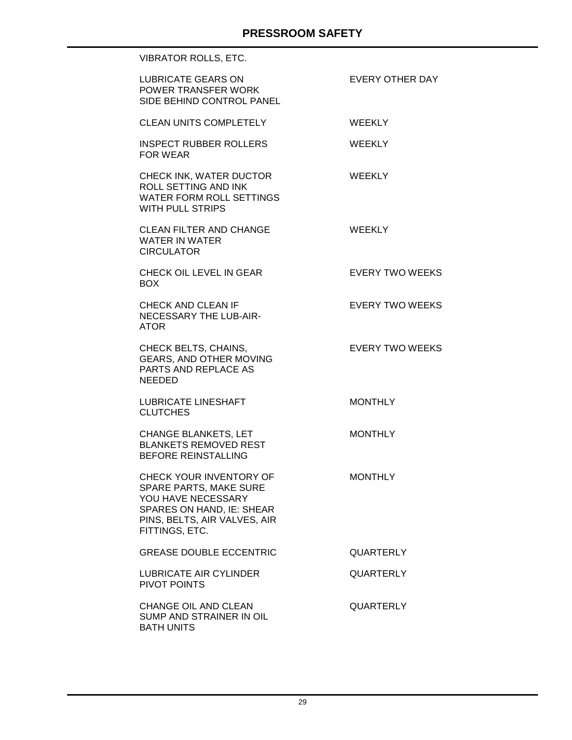| <b>LUBRICATE GEARS ON</b><br>POWER TRANSFER WORK<br>SIDE BEHIND CONTROL PANEL                                                                          | EVERY OTHER DAY        |
|--------------------------------------------------------------------------------------------------------------------------------------------------------|------------------------|
| <b>CLEAN UNITS COMPLETELY</b>                                                                                                                          | <b>WEEKLY</b>          |
| <b>INSPECT RUBBER ROLLERS</b><br><b>FOR WEAR</b>                                                                                                       | WEEKLY                 |
| CHECK INK, WATER DUCTOR<br>ROLL SETTING AND INK<br>WATER FORM ROLL SETTINGS<br><b>WITH PULL STRIPS</b>                                                 | <b>WEEKLY</b>          |
| <b>CLEAN FILTER AND CHANGE</b><br><b>WATER IN WATER</b><br><b>CIRCULATOR</b>                                                                           | <b>WEEKLY</b>          |
| CHECK OIL LEVEL IN GEAR<br><b>BOX</b>                                                                                                                  | <b>EVERY TWO WEEKS</b> |
| <b>CHECK AND CLEAN IF</b><br>NECESSARY THE LUB-AIR-<br><b>ATOR</b>                                                                                     | <b>EVERY TWO WEEKS</b> |
| CHECK BELTS, CHAINS,<br><b>GEARS, AND OTHER MOVING</b><br><b>PARTS AND REPLACE AS</b><br><b>NEEDED</b>                                                 | <b>EVERY TWO WEEKS</b> |
| <b>LUBRICATE LINESHAFT</b><br><b>CLUTCHES</b>                                                                                                          | <b>MONTHLY</b>         |
| <b>CHANGE BLANKETS, LET</b><br><b>BLANKETS REMOVED REST</b><br><b>BEFORE REINSTALLING</b>                                                              | <b>MONTHLY</b>         |
| CHECK YOUR INVENTORY OF<br>SPARE PARTS, MAKE SURE<br>YOU HAVE NECESSARY<br>SPARES ON HAND, IE: SHEAR<br>PINS, BELTS, AIR VALVES, AIR<br>FITTINGS, ETC. | <b>MONTHLY</b>         |
| <b>GREASE DOUBLE ECCENTRIC</b>                                                                                                                         | <b>QUARTERLY</b>       |
| <b>LUBRICATE AIR CYLINDER</b><br>PIVOT POINTS                                                                                                          | QUARTERLY              |
| CHANGE OIL AND CLEAN<br>SUMP AND STRAINER IN OIL<br><b>BATH UNITS</b>                                                                                  | <b>QUARTERLY</b>       |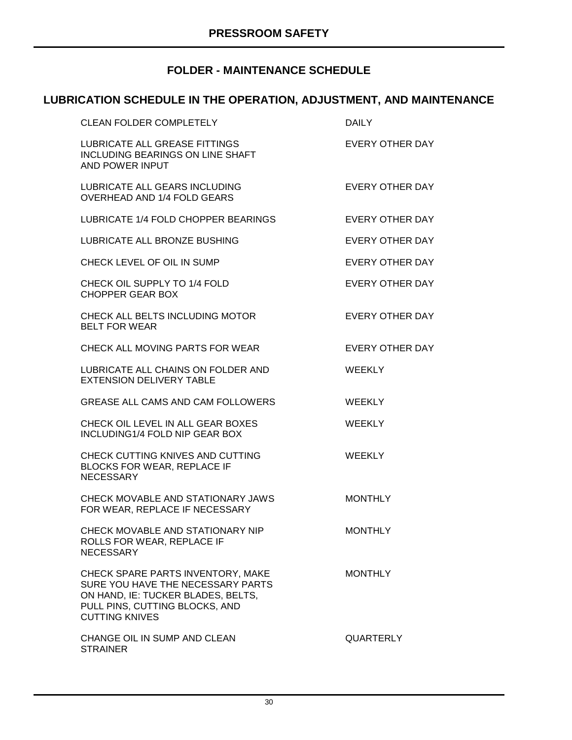### **FOLDER - MAINTENANCE SCHEDULE**

## **LUBRICATION SCHEDULE IN THE OPERATION, ADJUSTMENT, AND MAINTENANCE**

| <b>CLEAN FOLDER COMPLETELY</b>                                                                                                                                          | <b>DAILY</b>           |
|-------------------------------------------------------------------------------------------------------------------------------------------------------------------------|------------------------|
| LUBRICATE ALL GREASE FITTINGS<br>INCLUDING BEARINGS ON LINE SHAFT<br>AND POWER INPUT                                                                                    | <b>EVERY OTHER DAY</b> |
| LUBRICATE ALL GEARS INCLUDING<br>OVERHEAD AND 1/4 FOLD GEARS                                                                                                            | <b>EVERY OTHER DAY</b> |
| LUBRICATE 1/4 FOLD CHOPPER BEARINGS                                                                                                                                     | EVERY OTHER DAY        |
| LUBRICATE ALL BRONZE BUSHING                                                                                                                                            | <b>EVERY OTHER DAY</b> |
| CHECK LEVEL OF OIL IN SUMP                                                                                                                                              | EVERY OTHER DAY        |
| CHECK OIL SUPPLY TO 1/4 FOLD<br><b>CHOPPER GEAR BOX</b>                                                                                                                 | EVERY OTHER DAY        |
| CHECK ALL BELTS INCLUDING MOTOR<br><b>BELT FOR WEAR</b>                                                                                                                 | EVERY OTHER DAY        |
| CHECK ALL MOVING PARTS FOR WEAR                                                                                                                                         | <b>EVERY OTHER DAY</b> |
| LUBRICATE ALL CHAINS ON FOLDER AND<br><b>EXTENSION DELIVERY TABLE</b>                                                                                                   | <b>WEEKLY</b>          |
| GREASE ALL CAMS AND CAM FOLLOWERS                                                                                                                                       | <b>WEEKLY</b>          |
| CHECK OIL LEVEL IN ALL GEAR BOXES<br>INCLUDING1/4 FOLD NIP GEAR BOX                                                                                                     | <b>WEEKLY</b>          |
| CHECK CUTTING KNIVES AND CUTTING<br>BLOCKS FOR WEAR, REPLACE IF<br><b>NECESSARY</b>                                                                                     | <b>WEEKLY</b>          |
| CHECK MOVABLE AND STATIONARY JAWS<br>FOR WEAR, REPLACE IF NECESSARY                                                                                                     | <b>MONTHLY</b>         |
| CHECK MOVABLE AND STATIONARY NIP<br>ROLLS FOR WEAR, REPLACE IF<br><b>NECESSARY</b>                                                                                      | <b>MONTHLY</b>         |
| CHECK SPARE PARTS INVENTORY, MAKE<br>SURE YOU HAVE THE NECESSARY PARTS<br>ON HAND, IE: TUCKER BLADES, BELTS,<br>PULL PINS, CUTTING BLOCKS, AND<br><b>CUTTING KNIVES</b> | <b>MONTHLY</b>         |
| CHANGE OIL IN SUMP AND CLEAN<br><b>STRAINER</b>                                                                                                                         | QUARTERLY              |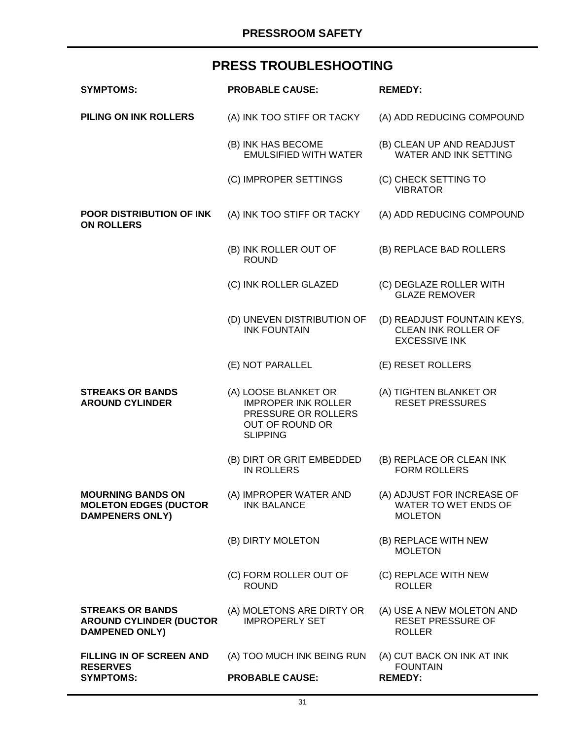# **PRESS TROUBLESHOOTING**

| <b>SYMPTOMS:</b>                                                                   | <b>PROBABLE CAUSE:</b>                                                                                                 | <b>REMEDY:</b>                                                             |
|------------------------------------------------------------------------------------|------------------------------------------------------------------------------------------------------------------------|----------------------------------------------------------------------------|
| <b>PILING ON INK ROLLERS</b>                                                       | (A) INK TOO STIFF OR TACKY                                                                                             | (A) ADD REDUCING COMPOUND                                                  |
|                                                                                    | (B) INK HAS BECOME<br><b>EMULSIFIED WITH WATER</b>                                                                     | (B) CLEAN UP AND READJUST<br>WATER AND INK SETTING                         |
|                                                                                    | (C) IMPROPER SETTINGS                                                                                                  | (C) CHECK SETTING TO<br><b>VIBRATOR</b>                                    |
| <b>POOR DISTRIBUTION OF INK</b><br><b>ON ROLLERS</b>                               | (A) INK TOO STIFF OR TACKY                                                                                             | (A) ADD REDUCING COMPOUND                                                  |
|                                                                                    | (B) INK ROLLER OUT OF<br><b>ROUND</b>                                                                                  | (B) REPLACE BAD ROLLERS                                                    |
|                                                                                    | (C) INK ROLLER GLAZED                                                                                                  | (C) DEGLAZE ROLLER WITH<br><b>GLAZE REMOVER</b>                            |
|                                                                                    | (D) UNEVEN DISTRIBUTION OF<br><b>INK FOUNTAIN</b>                                                                      | (D) READJUST FOUNTAIN KEYS,<br>CLEAN INK ROLLER OF<br><b>EXCESSIVE INK</b> |
|                                                                                    | (E) NOT PARALLEL                                                                                                       | (E) RESET ROLLERS                                                          |
| <b>STREAKS OR BANDS</b><br><b>AROUND CYLINDER</b>                                  | (A) LOOSE BLANKET OR<br><b>IMPROPER INK ROLLER</b><br>PRESSURE OR ROLLERS<br><b>OUT OF ROUND OR</b><br><b>SLIPPING</b> | (A) TIGHTEN BLANKET OR<br><b>RESET PRESSURES</b>                           |
|                                                                                    | (B) DIRT OR GRIT EMBEDDED<br><b>IN ROLLERS</b>                                                                         | (B) REPLACE OR CLEAN INK<br><b>FORM ROLLERS</b>                            |
| <b>MOURNING BANDS ON</b><br><b>MOLETON EDGES (DUCTOR</b><br><b>DAMPENERS ONLY)</b> | (A) IMPROPER WATER AND<br><b>INK BALANCE</b>                                                                           | (A) ADJUST FOR INCREASE OF<br>WATER TO WET ENDS OF<br><b>MOLETON</b>       |
|                                                                                    | (B) DIRTY MOLETON                                                                                                      | (B) REPLACE WITH NEW<br><b>MOLETON</b>                                     |
|                                                                                    | (C) FORM ROLLER OUT OF<br><b>ROUND</b>                                                                                 | (C) REPLACE WITH NEW<br><b>ROLLER</b>                                      |
| <b>STREAKS OR BANDS</b><br><b>AROUND CYLINDER (DUCTOR</b><br><b>DAMPENED ONLY)</b> | (A) MOLETONS ARE DIRTY OR<br><b>IMPROPERLY SET</b>                                                                     | (A) USE A NEW MOLETON AND<br><b>RESET PRESSURE OF</b><br><b>ROLLER</b>     |
| FILLING IN OF SCREEN AND<br><b>RESERVES</b><br><b>SYMPTOMS:</b>                    | (A) TOO MUCH INK BEING RUN<br><b>PROBABLE CAUSE:</b>                                                                   | (A) CUT BACK ON INK AT INK<br><b>FOUNTAIN</b><br><b>REMEDY:</b>            |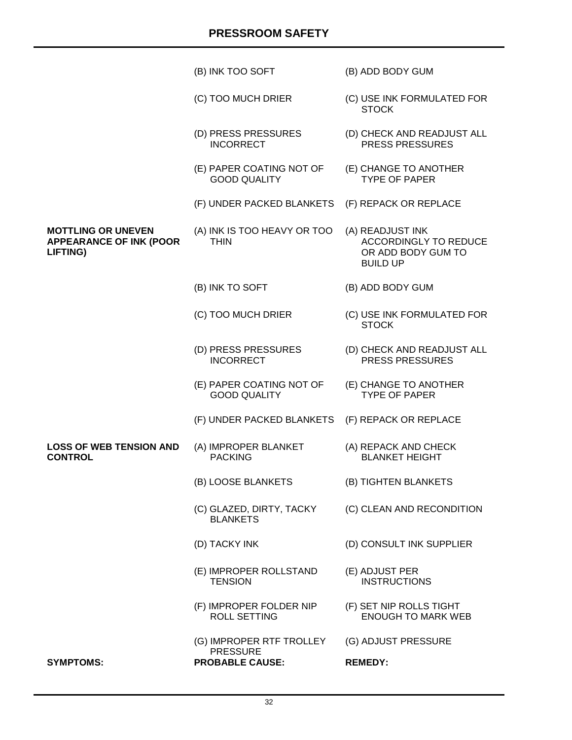|                                                                                | (B) INK TOO SOFT                                | (B) ADD BODY GUM                                                                          |
|--------------------------------------------------------------------------------|-------------------------------------------------|-------------------------------------------------------------------------------------------|
|                                                                                | (C) TOO MUCH DRIER                              | (C) USE INK FORMULATED FOR<br><b>STOCK</b>                                                |
|                                                                                | (D) PRESS PRESSURES<br><b>INCORRECT</b>         | (D) CHECK AND READJUST ALL<br><b>PRESS PRESSURES</b>                                      |
|                                                                                | (E) PAPER COATING NOT OF<br><b>GOOD QUALITY</b> | (E) CHANGE TO ANOTHER<br><b>TYPE OF PAPER</b>                                             |
|                                                                                | (F) UNDER PACKED BLANKETS                       | (F) REPACK OR REPLACE                                                                     |
| <b>MOTTLING OR UNEVEN</b><br><b>APPEARANCE OF INK (POOR</b><br><b>LIFTING)</b> | (A) INK IS TOO HEAVY OR TOO<br><b>THIN</b>      | (A) READJUST INK<br><b>ACCORDINGLY TO REDUCE</b><br>OR ADD BODY GUM TO<br><b>BUILD UP</b> |
|                                                                                | (B) INK TO SOFT                                 | (B) ADD BODY GUM                                                                          |
|                                                                                | (C) TOO MUCH DRIER                              | (C) USE INK FORMULATED FOR<br><b>STOCK</b>                                                |
|                                                                                | (D) PRESS PRESSURES<br><b>INCORRECT</b>         | (D) CHECK AND READJUST ALL<br><b>PRESS PRESSURES</b>                                      |
|                                                                                | (E) PAPER COATING NOT OF<br><b>GOOD QUALITY</b> | (E) CHANGE TO ANOTHER<br><b>TYPE OF PAPER</b>                                             |
|                                                                                | (F) UNDER PACKED BLANKETS                       | (F) REPACK OR REPLACE                                                                     |
| <b>LOSS OF WEB TENSION AND</b><br><b>CONTROL</b>                               | (A) IMPROPER BLANKET<br><b>PACKING</b>          | (A) REPACK AND CHECK<br><b>BLANKET HEIGHT</b>                                             |
|                                                                                | (B) LOOSE BLANKETS                              | (B) TIGHTEN BLANKETS                                                                      |
|                                                                                | (C) GLAZED, DIRTY, TACKY<br><b>BLANKETS</b>     | (C) CLEAN AND RECONDITION                                                                 |
|                                                                                | (D) TACKY INK                                   | (D) CONSULT INK SUPPLIER                                                                  |
|                                                                                | (E) IMPROPER ROLLSTAND<br><b>TENSION</b>        | (E) ADJUST PER<br><b>INSTRUCTIONS</b>                                                     |
|                                                                                | (F) IMPROPER FOLDER NIP<br><b>ROLL SETTING</b>  | (F) SET NIP ROLLS TIGHT<br><b>ENOUGH TO MARK WEB</b>                                      |
|                                                                                | (G) IMPROPER RTF TROLLEY<br><b>PRESSURE</b>     | (G) ADJUST PRESSURE                                                                       |
| <b>SYMPTOMS:</b>                                                               | <b>PROBABLE CAUSE:</b>                          | <b>REMEDY:</b>                                                                            |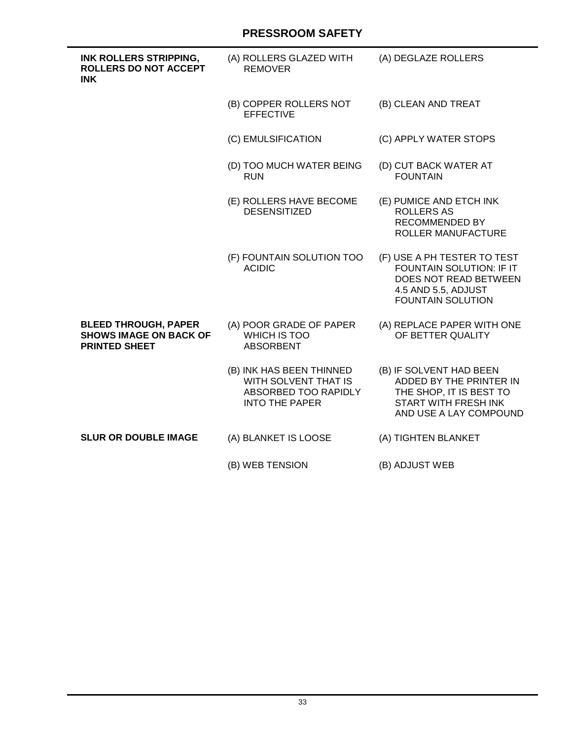# **PRESSROOM SAFETY**

| INK ROLLERS STRIPPING,<br><b>ROLLERS DO NOT ACCEPT</b><br><b>INK</b>                 | (A) ROLLERS GLAZED WITH<br><b>REMOVER</b>                                                         | (A) DEGLAZE ROLLERS                                                                                                                    |
|--------------------------------------------------------------------------------------|---------------------------------------------------------------------------------------------------|----------------------------------------------------------------------------------------------------------------------------------------|
|                                                                                      | (B) COPPER ROLLERS NOT<br><b>EFFECTIVE</b>                                                        | (B) CLEAN AND TREAT                                                                                                                    |
|                                                                                      | (C) EMULSIFICATION                                                                                | (C) APPLY WATER STOPS                                                                                                                  |
|                                                                                      | (D) TOO MUCH WATER BEING<br><b>RUN</b>                                                            | (D) CUT BACK WATER AT<br><b>FOUNTAIN</b>                                                                                               |
|                                                                                      | (E) ROLLERS HAVE BECOME<br><b>DESENSITIZED</b>                                                    | (E) PUMICE AND ETCH INK<br><b>ROLLERS AS</b><br>RECOMMENDED BY<br>ROLLER MANUFACTURE                                                   |
|                                                                                      | (F) FOUNTAIN SOLUTION TOO<br><b>ACIDIC</b>                                                        | (F) USE A PH TESTER TO TEST<br>FOUNTAIN SOLUTION: IF IT<br>DOES NOT READ BETWEEN<br>4.5 AND 5.5, ADJUST<br><b>FOUNTAIN SOLUTION</b>    |
| <b>BLEED THROUGH, PAPER</b><br><b>SHOWS IMAGE ON BACK OF</b><br><b>PRINTED SHEET</b> | (A) POOR GRADE OF PAPER<br>WHICH IS TOO<br><b>ABSORBENT</b>                                       | (A) REPLACE PAPER WITH ONE<br>OF BETTER QUALITY                                                                                        |
|                                                                                      | (B) INK HAS BEEN THINNED<br>WITH SOLVENT THAT IS<br>ABSORBED TOO RAPIDLY<br><b>INTO THE PAPER</b> | (B) IF SOLVENT HAD BEEN<br>ADDED BY THE PRINTER IN<br>THE SHOP, IT IS BEST TO<br><b>START WITH FRESH INK</b><br>AND USE A LAY COMPOUND |
| <b>SLUR OR DOUBLE IMAGE</b>                                                          | (A) BLANKET IS LOOSE                                                                              | (A) TIGHTEN BLANKET                                                                                                                    |
|                                                                                      | (B) WEB TENSION                                                                                   | (B) ADJUST WEB                                                                                                                         |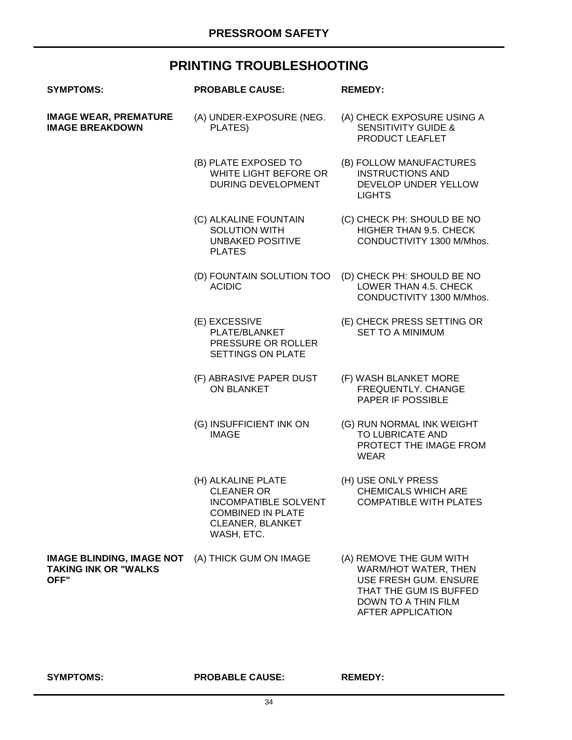# **PRINTING TROUBLESHOOTING**

| <b>SYMPTOMS:</b>                                                        | <b>PROBABLE CAUSE:</b>                                                                                                               | <b>REMEDY:</b>                                                                                                                                        |
|-------------------------------------------------------------------------|--------------------------------------------------------------------------------------------------------------------------------------|-------------------------------------------------------------------------------------------------------------------------------------------------------|
| <b>IMAGE WEAR, PREMATURE</b><br><b>IMAGE BREAKDOWN</b>                  | (A) UNDER-EXPOSURE (NEG.<br>PLATES)                                                                                                  | (A) CHECK EXPOSURE USING A<br><b>SENSITIVITY GUIDE &amp;</b><br>PRODUCT LEAFLET                                                                       |
|                                                                         | (B) PLATE EXPOSED TO<br>WHITE LIGHT BEFORE OR<br><b>DURING DEVELOPMENT</b>                                                           | (B) FOLLOW MANUFACTURES<br><b>INSTRUCTIONS AND</b><br>DEVELOP UNDER YELLOW<br><b>LIGHTS</b>                                                           |
|                                                                         | (C) ALKALINE FOUNTAIN<br><b>SOLUTION WITH</b><br><b>UNBAKED POSITIVE</b><br><b>PLATES</b>                                            | (C) CHECK PH: SHOULD BE NO<br>HIGHER THAN 9.5. CHECK<br>CONDUCTIVITY 1300 M/Mhos.                                                                     |
|                                                                         | (D) FOUNTAIN SOLUTION TOO<br><b>ACIDIC</b>                                                                                           | (D) CHECK PH: SHOULD BE NO<br>LOWER THAN 4.5. CHECK<br>CONDUCTIVITY 1300 M/Mhos.                                                                      |
|                                                                         | (E) EXCESSIVE<br>PLATE/BLANKET<br>PRESSURE OR ROLLER<br>SETTINGS ON PLATE                                                            | (E) CHECK PRESS SETTING OR<br><b>SET TO A MINIMUM</b>                                                                                                 |
|                                                                         | (F) ABRASIVE PAPER DUST<br>ON BLANKET                                                                                                | (F) WASH BLANKET MORE<br>FREQUENTLY. CHANGE<br>PAPER IF POSSIBLE                                                                                      |
|                                                                         | (G) INSUFFICIENT INK ON<br><b>IMAGE</b>                                                                                              | (G) RUN NORMAL INK WEIGHT<br>TO LUBRICATE AND<br>PROTECT THE IMAGE FROM<br><b>WEAR</b>                                                                |
|                                                                         | (H) ALKALINE PLATE<br><b>CLEANER OR</b><br><b>INCOMPATIBLE SOLVENT</b><br><b>COMBINED IN PLATE</b><br>CLEANER, BLANKET<br>WASH, ETC. | (H) USE ONLY PRESS<br><b>CHEMICALS WHICH ARE</b><br><b>COMPATIBLE WITH PLATES</b>                                                                     |
| <b>IMAGE BLINDING, IMAGE NOT</b><br><b>TAKING INK OR "WALKS</b><br>OFF" | (A) THICK GUM ON IMAGE                                                                                                               | (A) REMOVE THE GUM WITH<br>WARM/HOT WATER, THEN<br>USE FRESH GUM. ENSURE<br>THAT THE GUM IS BUFFED<br>DOWN TO A THIN FILM<br><b>AFTER APPLICATION</b> |

**SYMPTOMS: PROBABLE CAUSE: REMEDY:**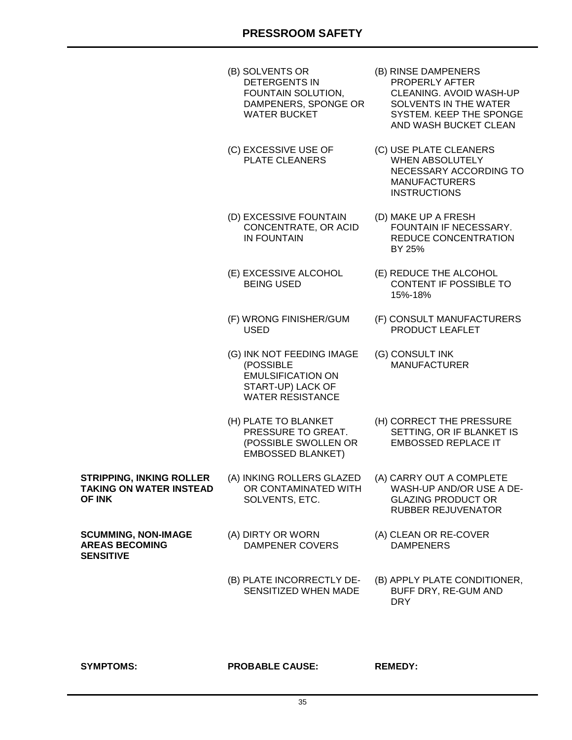- (B) SOLVENTS OR DETERGENTS IN FOUNTAIN SOLUTION, DAMPENERS, SPONGE OR WATER BUCKET
- (C) EXCESSIVE USE OF PLATE CLEANERS
- (D) EXCESSIVE FOUNTAIN CONCENTRATE, OR ACID IN FOUNTAIN
- (E) EXCESSIVE ALCOHOL BEING USED
- (F) WRONG FINISHER/GUM USED
- (G) INK NOT FEEDING IMAGE (POSSIBLE EMULSIFICATION ON START-UP) LACK OF WATER RESISTANCE
- (H) PLATE TO BLANKET PRESSURE TO GREAT. (POSSIBLE SWOLLEN OR EMBOSSED BLANKET)

(A) INKING ROLLERS GLAZED OR CONTAMINATED WITH

**STRIPPING, INKING ROLLER TAKING ON WATER INSTEAD OF INK**

**SCUMMING, NON-IMAGE AREAS BECOMING SENSITIVE**

(A) DIRTY OR WORN DAMPENER COVERS

SOLVENTS, ETC.

(B) PLATE INCORRECTLY DE-SENSITIZED WHEN MADE

- (B) RINSE DAMPENERS PROPERLY AFTER CLEANING. AVOID WASH-UP SOLVENTS IN THE WATER SYSTEM. KEEP THE SPONGE AND WASH BUCKET CLEAN
- (C) USE PLATE CLEANERS WHEN ABSOLUTELY NECESSARY ACCORDING TO MANUFACTURERS **INSTRUCTIONS**
- (D) MAKE UP A FRESH FOUNTAIN IF NECESSARY. REDUCE CONCENTRATION BY 25%
- (E) REDUCE THE ALCOHOL CONTENT IF POSSIBLE TO 15%-18%
- (F) CONSULT MANUFACTURERS PRODUCT LEAFLET
- (G) CONSULT INK MANUFACTURER
- (H) CORRECT THE PRESSURE SETTING, OR IF BLANKET IS EMBOSSED REPLACE IT
- (A) CARRY OUT A COMPLETE WASH-UP AND/OR USE A DE-GLAZING PRODUCT OR RUBBER REJUVENATOR
- (A) CLEAN OR RE-COVER DAMPENERS
- (B) APPLY PLATE CONDITIONER, BUFF DRY, RE-GUM AND DRY

**SYMPTOMS: PROBABLE CAUSE: REMEDY:**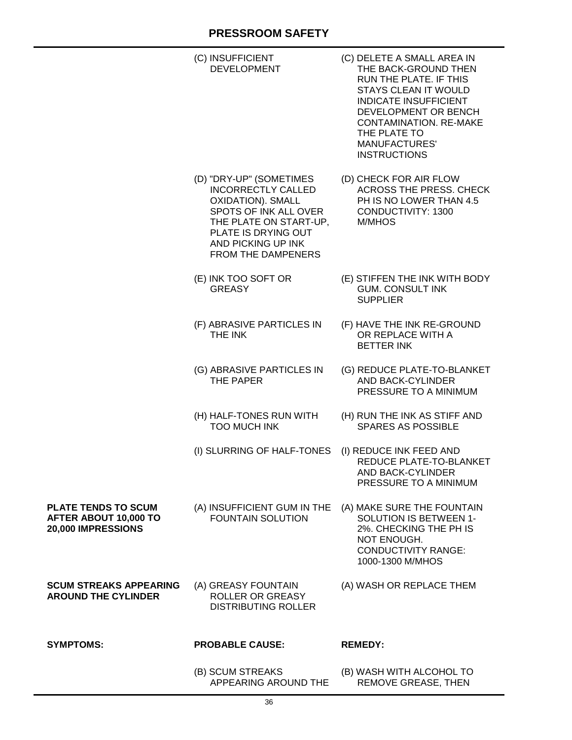|                                                                                  | (C) INSUFFICIENT<br><b>DEVELOPMENT</b>                                                                                                                                                                 | (C) DELETE A SMALL AREA IN<br>THE BACK-GROUND THEN<br>RUN THE PLATE. IF THIS<br><b>STAYS CLEAN IT WOULD</b><br><b>INDICATE INSUFFICIENT</b><br>DEVELOPMENT OR BENCH<br>CONTAMINATION. RE-MAKE<br>THE PLATE TO<br><b>MANUFACTURES'</b><br><b>INSTRUCTIONS</b> |
|----------------------------------------------------------------------------------|--------------------------------------------------------------------------------------------------------------------------------------------------------------------------------------------------------|--------------------------------------------------------------------------------------------------------------------------------------------------------------------------------------------------------------------------------------------------------------|
|                                                                                  | (D) "DRY-UP" (SOMETIMES<br><b>INCORRECTLY CALLED</b><br><b>OXIDATION). SMALL</b><br>SPOTS OF INK ALL OVER<br>THE PLATE ON START-UP,<br>PLATE IS DRYING OUT<br>AND PICKING UP INK<br>FROM THE DAMPENERS | (D) CHECK FOR AIR FLOW<br><b>ACROSS THE PRESS. CHECK</b><br>PH IS NO LOWER THAN 4.5<br>CONDUCTIVITY: 1300<br>M/MHOS                                                                                                                                          |
|                                                                                  | (E) INK TOO SOFT OR<br><b>GREASY</b>                                                                                                                                                                   | (E) STIFFEN THE INK WITH BODY<br><b>GUM. CONSULT INK</b><br><b>SUPPLIER</b>                                                                                                                                                                                  |
|                                                                                  | (F) ABRASIVE PARTICLES IN<br>THE INK                                                                                                                                                                   | (F) HAVE THE INK RE-GROUND<br>OR REPLACE WITH A<br><b>BETTER INK</b>                                                                                                                                                                                         |
|                                                                                  | (G) ABRASIVE PARTICLES IN<br>THE PAPER                                                                                                                                                                 | (G) REDUCE PLATE-TO-BLANKET<br><b>AND BACK-CYLINDER</b><br>PRESSURE TO A MINIMUM                                                                                                                                                                             |
|                                                                                  | (H) HALF-TONES RUN WITH<br><b>TOO MUCH INK</b>                                                                                                                                                         | (H) RUN THE INK AS STIFF AND<br><b>SPARES AS POSSIBLE</b>                                                                                                                                                                                                    |
|                                                                                  | (I) SLURRING OF HALF-TONES                                                                                                                                                                             | (I) REDUCE INK FEED AND<br>REDUCE PLATE-TO-BLANKET<br>AND BACK-CYLINDER<br>PRESSURE TO A MINIMUM                                                                                                                                                             |
| <b>PLATE TENDS TO SCUM</b><br><b>AFTER ABOUT 10,000 TO</b><br>20,000 IMPRESSIONS | (A) INSUFFICIENT GUM IN THE<br><b>FOUNTAIN SOLUTION</b>                                                                                                                                                | (A) MAKE SURE THE FOUNTAIN<br>SOLUTION IS BETWEEN 1-<br>2%. CHECKING THE PH IS<br>NOT ENOUGH.<br><b>CONDUCTIVITY RANGE:</b><br>1000-1300 M/MHOS                                                                                                              |
| <b>SCUM STREAKS APPEARING</b><br><b>AROUND THE CYLINDER</b>                      | (A) GREASY FOUNTAIN<br><b>ROLLER OR GREASY</b><br><b>DISTRIBUTING ROLLER</b>                                                                                                                           | (A) WASH OR REPLACE THEM                                                                                                                                                                                                                                     |
| <b>SYMPTOMS:</b>                                                                 | <b>PROBABLE CAUSE:</b>                                                                                                                                                                                 | <b>REMEDY:</b>                                                                                                                                                                                                                                               |
|                                                                                  | (B) SCUM STREAKS                                                                                                                                                                                       | (B) WASH WITH ALCOHOL TO                                                                                                                                                                                                                                     |

APPEARING AROUND THE REMOVE GREASE, THEN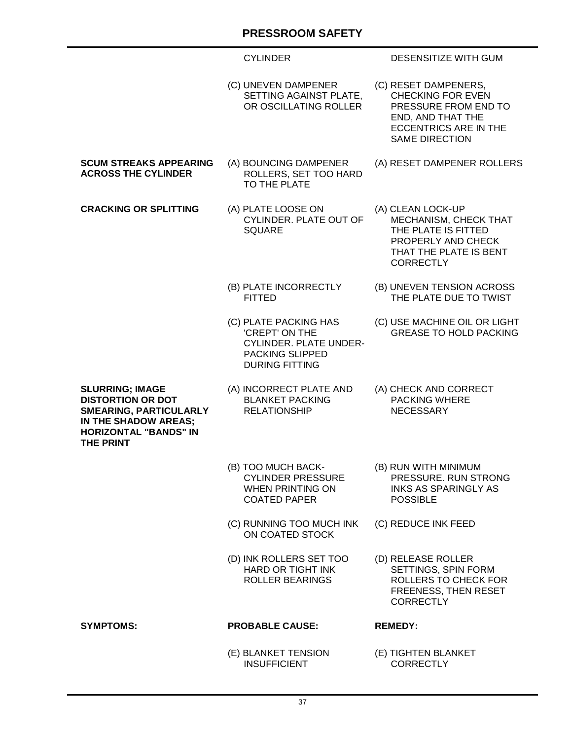(C) UNEVEN DAMPENER SETTING AGAINST PLATE, OR OSCILLATING ROLLER

(A) BOUNCING DAMPENER ROLLERS, SET TOO HARD

CYLINDER. PLATE OUT OF

TO THE PLATE

(B) PLATE INCORRECTLY

(C) PLATE PACKING HAS 'CREPT' ON THE

> PACKING SLIPPED DURING FITTING

(A) INCORRECT PLATE AND BLANKET PACKING RELATIONSHIP

(B) TOO MUCH BACK-

CYLINDER PRESSURE WHEN PRINTING ON COATED PAPER

CYLINDER. PLATE UNDER-

**SQUARE** 

FITTED

#### CYLINDER DESENSITIZE WITH GUM

- (C) RESET DAMPENERS, CHECKING FOR EVEN PRESSURE FROM END TO END, AND THAT THE ECCENTRICS ARE IN THE SAME DIRECTION
- (A) RESET DAMPENER ROLLERS
- (A) CLEAN LOCK-UP MECHANISM, CHECK THAT THE PLATE IS FITTED PROPERLY AND CHECK THAT THE PLATE IS BENT **CORRECTLY**
- (B) UNEVEN TENSION ACROSS THE PLATE DUE TO TWIST
- (C) USE MACHINE OIL OR LIGHT GREASE TO HOLD PACKING
- (A) CHECK AND CORRECT PACKING WHERE **NECESSARY**
- (B) RUN WITH MINIMUM PRESSURE. RUN STRONG INKS AS SPARINGLY AS POSSIBLE
- (C) RUNNING TOO MUCH INK ON COATED STOCK (C) REDUCE INK FEED
- (D) INK ROLLERS SET TOO HARD OR TIGHT INK ROLLER BEARINGS

**SLURRING; IMAGE DISTORTION OR DOT** 

**THE PRINT**

**SMEARING, PARTICULARLY IN THE SHADOW AREAS; HORIZONTAL "BANDS" IN** 

**SCUM STREAKS APPEARING ACROSS THE CYLINDER**

**CRACKING OR SPLITTING** (A) PLATE LOOSE ON

#### **SYMPTOMS: PROBABLE CAUSE: REMEDY:**

#### (E) BLANKET TENSION INSUFFICIENT

(E) TIGHTEN BLANKET **CORRECTLY** 

(D) RELEASE ROLLER

**CORRECTLY** 

SETTINGS, SPIN FORM ROLLERS TO CHECK FOR FREENESS, THEN RESET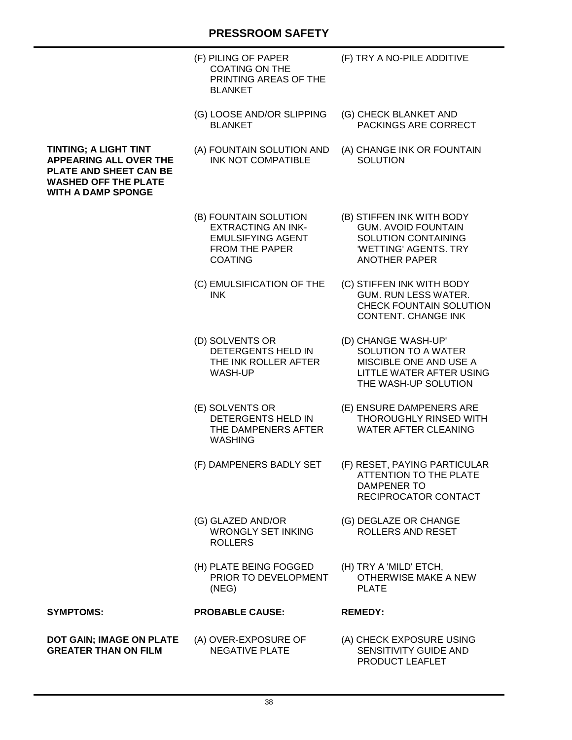(F) PILING OF PAPER COATING ON THE PRINTING AREAS OF THE **BI ANKFT** (F) TRY A NO-PILE ADDITIVE (G) LOOSE AND/OR SLIPPING BLANKET (G) CHECK BLANKET AND PACKINGS ARE CORRECT **TINTING; A LIGHT TINT APPEARING ALL OVER THE PLATE AND SHEET CAN BE WASHED OFF THE PLATE WITH A DAMP SPONGE** (A) FOUNTAIN SOLUTION AND INK NOT COMPATIBLE (A) CHANGE INK OR FOUNTAIN **SOLUTION** (B) FOUNTAIN SOLUTION EXTRACTING AN INK-EMULSIFYING AGENT FROM THE PAPER COATING (B) STIFFEN INK WITH BODY GUM. AVOID FOUNTAIN SOLUTION CONTAINING 'WETTING' AGENTS. TRY ANOTHER PAPER (C) EMULSIFICATION OF THE INK (C) STIFFEN INK WITH BODY GUM. RUN LESS WATER. CHECK FOUNTAIN SOLUTION CONTENT. CHANGE INK (D) SOLVENTS OR DETERGENTS HELD IN THE INK ROLLER AFTER WASH-UP (D) CHANGE 'WASH-UP' SOLUTION TO A WATER MISCIBLE ONE AND USE A LITTLE WATER AFTER USING THE WASH-UP SOLUTION (E) SOLVENTS OR DETERGENTS HELD IN THE DAMPENERS AFTER WASHING (E) ENSURE DAMPENERS ARE THOROUGHLY RINSED WITH WATER AFTER CLEANING (F) DAMPENERS BADLY SET (F) RESET, PAYING PARTICULAR ATTENTION TO THE PLATE DAMPENER TO RECIPROCATOR CONTACT (G) GLAZED AND/OR WRONGLY SET INKING ROLLERS (G) DEGLAZE OR CHANGE ROLLERS AND RESET (H) PLATE BEING FOGGED PRIOR TO DEVELOPMENT (NEG) (H) TRY A 'MILD' ETCH, OTHERWISE MAKE A NEW PLATE **SYMPTOMS: PROBABLE CAUSE: REMEDY: DOT GAIN; IMAGE ON PLATE GREATER THAN ON FILM** (A) OVER-EXPOSURE OF NEGATIVE PLATE (A) CHECK EXPOSURE USING SENSITIVITY GUIDE AND PRODUCT LEAFLET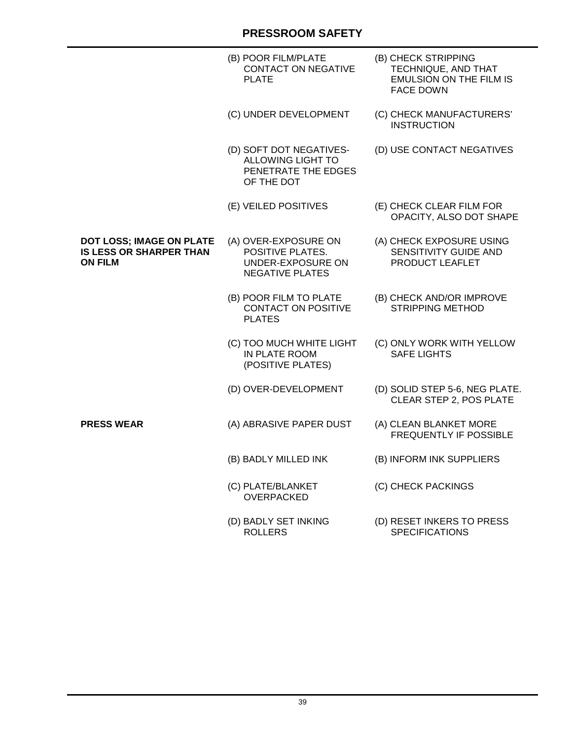| (B) POOR FILM/PLATE |  |
|---------------------|--|
| CONTACT ON NEGATIVE |  |
| <b>PLATE</b>        |  |

(D) SOFT DOT NEGATIVES-ALLOWING LIGHT TO PENETRATE THE EDGES OF THE DOT

**DOT LOSS; IMAGE ON PLATE IS LESS OR SHARPER THAN ON FILM**

(A) OVER-EXPOSURE ON POSITIVE PLATES. UNDER-EXPOSURE ON NEGATIVE PLATES

- (B) POOR FILM TO PLATE CONTACT ON POSITIVE PLATES
- (C) TOO MUCH WHITE LIGHT IN PLATE ROOM (POSITIVE PLATES)

- (C) PLATE/BLANKET OVERPACKED
- (D) BADLY SET INKING ROLLERS
- (B) CHECK STRIPPING TECHNIQUE, AND THAT EMULSION ON THE FILM IS FACE DOWN
- (C) UNDER DEVELOPMENT (C) CHECK MANUFACTURERS' **INSTRUCTION** 
	- (D) USE CONTACT NEGATIVES
- (E) VEILED POSITIVES (E) CHECK CLEAR FILM FOR OPACITY, ALSO DOT SHAPE
	- (A) CHECK EXPOSURE USING SENSITIVITY GUIDE AND PRODUCT LEAFLET
	- (B) CHECK AND/OR IMPROVE STRIPPING METHOD
	- (C) ONLY WORK WITH YELLOW SAFE LIGHTS
- (D) OVER-DEVELOPMENT (D) SOLID STEP 5-6, NEG PLATE. CLEAR STEP 2, POS PLATE
- **PRESS WEAR** (A) ABRASIVE PAPER DUST (A) CLEAN BLANKET MORE FREQUENTLY IF POSSIBLE
	- (B) BADLY MILLED INK (B) INFORM INK SUPPLIERS

(C) CHECK PACKINGS

(D) RESET INKERS TO PRESS **SPECIFICATIONS**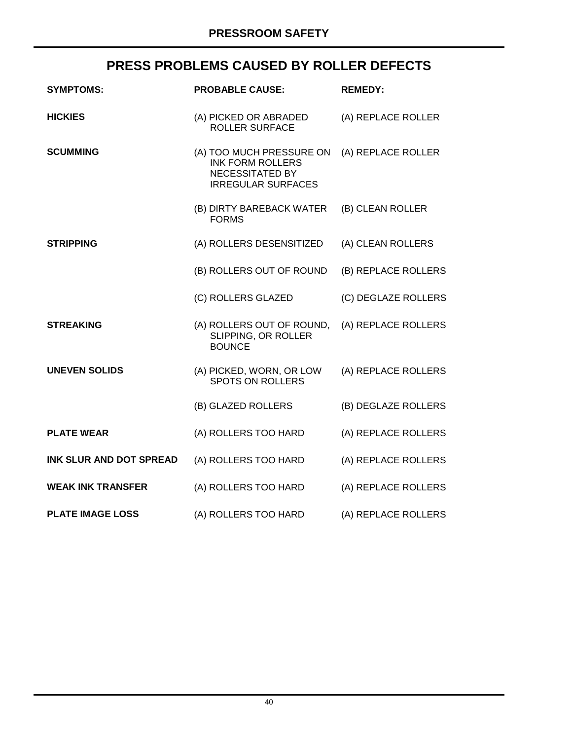# **PRESS PROBLEMS CAUSED BY ROLLER DEFECTS**

| <b>SYMPTOMS:</b>               | <b>PROBABLE CAUSE:</b>                                                                                     | <b>REMEDY:</b>      |
|--------------------------------|------------------------------------------------------------------------------------------------------------|---------------------|
| <b>HICKIES</b>                 | (A) PICKED OR ABRADED<br><b>ROLLER SURFACE</b>                                                             | (A) REPLACE ROLLER  |
| <b>SCUMMING</b>                | (A) TOO MUCH PRESSURE ON<br><b>INK FORM ROLLERS</b><br><b>NECESSITATED BY</b><br><b>IRREGULAR SURFACES</b> | (A) REPLACE ROLLER  |
|                                | (B) DIRTY BAREBACK WATER<br><b>FORMS</b>                                                                   | (B) CLEAN ROLLER    |
| <b>STRIPPING</b>               | (A) ROLLERS DESENSITIZED                                                                                   | (A) CLEAN ROLLERS   |
|                                | (B) ROLLERS OUT OF ROUND                                                                                   | (B) REPLACE ROLLERS |
|                                | (C) ROLLERS GLAZED                                                                                         | (C) DEGLAZE ROLLERS |
| <b>STREAKING</b>               | (A) ROLLERS OUT OF ROUND,<br>SLIPPING, OR ROLLER<br><b>BOUNCE</b>                                          | (A) REPLACE ROLLERS |
| <b>UNEVEN SOLIDS</b>           | (A) PICKED, WORN, OR LOW<br><b>SPOTS ON ROLLERS</b>                                                        | (A) REPLACE ROLLERS |
|                                | (B) GLAZED ROLLERS                                                                                         | (B) DEGLAZE ROLLERS |
| <b>PLATE WEAR</b>              | (A) ROLLERS TOO HARD                                                                                       | (A) REPLACE ROLLERS |
| <b>INK SLUR AND DOT SPREAD</b> | (A) ROLLERS TOO HARD                                                                                       | (A) REPLACE ROLLERS |
| <b>WEAK INK TRANSFER</b>       | (A) ROLLERS TOO HARD                                                                                       | (A) REPLACE ROLLERS |
| <b>PLATE IMAGE LOSS</b>        | (A) ROLLERS TOO HARD                                                                                       | (A) REPLACE ROLLERS |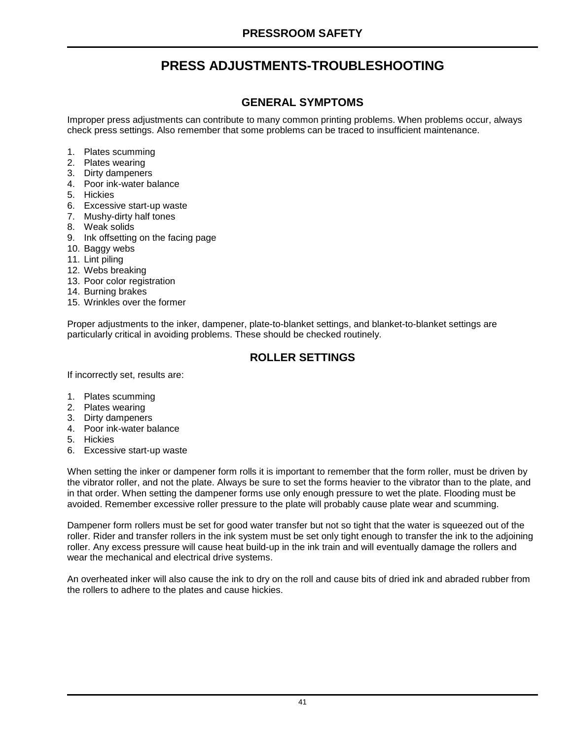# **PRESS ADJUSTMENTS-TROUBLESHOOTING**

## **GENERAL SYMPTOMS**

Improper press adjustments can contribute to many common printing problems. When problems occur, always check press settings. Also remember that some problems can be traced to insufficient maintenance.

- 1. Plates scumming
- 2. Plates wearing
- 3. Dirty dampeners
- 4. Poor ink-water balance
- 5. Hickies
- 6. Excessive start-up waste
- 7. Mushy-dirty half tones
- 8. Weak solids
- 9. Ink offsetting on the facing page
- 10. Baggy webs
- 11. Lint piling
- 12. Webs breaking
- 13. Poor color registration
- 14. Burning brakes
- 15. Wrinkles over the former

Proper adjustments to the inker, dampener, plate-to-blanket settings, and blanket-to-blanket settings are particularly critical in avoiding problems. These should be checked routinely.

### **ROLLER SETTINGS**

If incorrectly set, results are:

- 1. Plates scumming
- 2. Plates wearing
- 3. Dirty dampeners
- 4. Poor ink-water balance
- 5. Hickies
- 6. Excessive start-up waste

When setting the inker or dampener form rolls it is important to remember that the form roller, must be driven by the vibrator roller, and not the plate. Always be sure to set the forms heavier to the vibrator than to the plate, and in that order. When setting the dampener forms use only enough pressure to wet the plate. Flooding must be avoided. Remember excessive roller pressure to the plate will probably cause plate wear and scumming.

Dampener form rollers must be set for good water transfer but not so tight that the water is squeezed out of the roller. Rider and transfer rollers in the ink system must be set only tight enough to transfer the ink to the adjoining roller. Any excess pressure will cause heat build-up in the ink train and will eventually damage the rollers and wear the mechanical and electrical drive systems.

An overheated inker will also cause the ink to dry on the roll and cause bits of dried ink and abraded rubber from the rollers to adhere to the plates and cause hickies.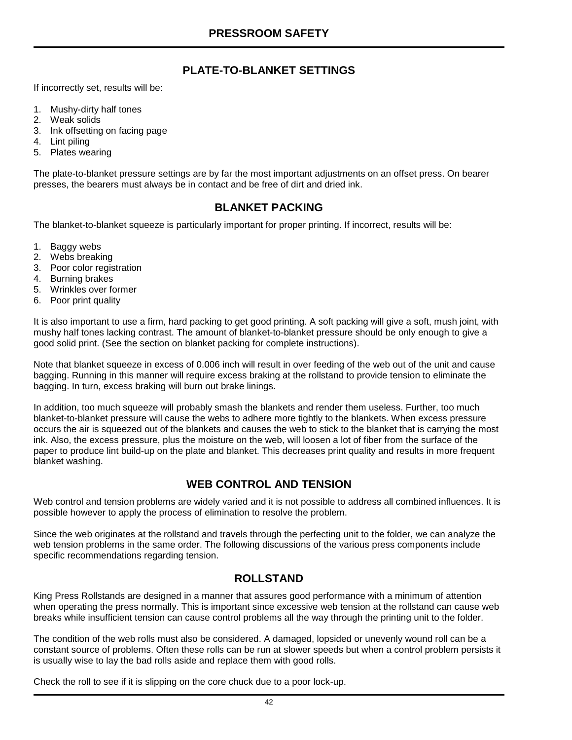### **PLATE-TO-BLANKET SETTINGS**

If incorrectly set, results will be:

- 1. Mushy-dirty half tones
- 2. Weak solids
- 3. Ink offsetting on facing page
- 4. Lint piling
- 5. Plates wearing

The plate-to-blanket pressure settings are by far the most important adjustments on an offset press. On bearer presses, the bearers must always be in contact and be free of dirt and dried ink.

### **BLANKET PACKING**

The blanket-to-blanket squeeze is particularly important for proper printing. If incorrect, results will be:

- 1. Baggy webs
- 2. Webs breaking
- 3. Poor color registration
- 4. Burning brakes
- 5. Wrinkles over former
- 6. Poor print quality

It is also important to use a firm, hard packing to get good printing. A soft packing will give a soft, mush joint, with mushy half tones lacking contrast. The amount of blanket-to-blanket pressure should be only enough to give a good solid print. (See the section on blanket packing for complete instructions).

Note that blanket squeeze in excess of 0.006 inch will result in over feeding of the web out of the unit and cause bagging. Running in this manner will require excess braking at the rollstand to provide tension to eliminate the bagging. In turn, excess braking will burn out brake linings.

In addition, too much squeeze will probably smash the blankets and render them useless. Further, too much blanket-to-blanket pressure will cause the webs to adhere more tightly to the blankets. When excess pressure occurs the air is squeezed out of the blankets and causes the web to stick to the blanket that is carrying the most ink. Also, the excess pressure, plus the moisture on the web, will loosen a lot of fiber from the surface of the paper to produce lint build-up on the plate and blanket. This decreases print quality and results in more frequent blanket washing.

#### **WEB CONTROL AND TENSION**

Web control and tension problems are widely varied and it is not possible to address all combined influences. It is possible however to apply the process of elimination to resolve the problem.

Since the web originates at the rollstand and travels through the perfecting unit to the folder, we can analyze the web tension problems in the same order. The following discussions of the various press components include specific recommendations regarding tension.

#### **ROLLSTAND**

King Press Rollstands are designed in a manner that assures good performance with a minimum of attention when operating the press normally. This is important since excessive web tension at the rollstand can cause web breaks while insufficient tension can cause control problems all the way through the printing unit to the folder.

The condition of the web rolls must also be considered. A damaged, lopsided or unevenly wound roll can be a constant source of problems. Often these rolls can be run at slower speeds but when a control problem persists it is usually wise to lay the bad rolls aside and replace them with good rolls.

Check the roll to see if it is slipping on the core chuck due to a poor lock-up.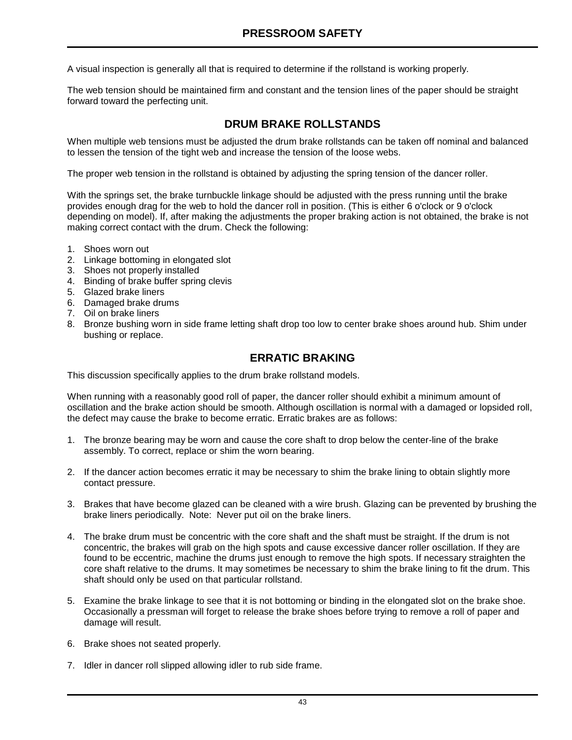A visual inspection is generally all that is required to determine if the rollstand is working properly.

The web tension should be maintained firm and constant and the tension lines of the paper should be straight forward toward the perfecting unit.

### **DRUM BRAKE ROLLSTANDS**

When multiple web tensions must be adjusted the drum brake rollstands can be taken off nominal and balanced to lessen the tension of the tight web and increase the tension of the loose webs.

The proper web tension in the rollstand is obtained by adjusting the spring tension of the dancer roller.

With the springs set, the brake turnbuckle linkage should be adjusted with the press running until the brake provides enough drag for the web to hold the dancer roll in position. (This is either 6 o'clock or 9 o'clock depending on model). If, after making the adjustments the proper braking action is not obtained, the brake is not making correct contact with the drum. Check the following:

- 1. Shoes worn out
- 2. Linkage bottoming in elongated slot
- 3. Shoes not properly installed
- 4. Binding of brake buffer spring clevis
- 5. Glazed brake liners
- 6. Damaged brake drums
- 7. Oil on brake liners
- 8. Bronze bushing worn in side frame letting shaft drop too low to center brake shoes around hub. Shim under bushing or replace.

### **ERRATIC BRAKING**

This discussion specifically applies to the drum brake rollstand models.

When running with a reasonably good roll of paper, the dancer roller should exhibit a minimum amount of oscillation and the brake action should be smooth. Although oscillation is normal with a damaged or lopsided roll, the defect may cause the brake to become erratic. Erratic brakes are as follows:

- 1. The bronze bearing may be worn and cause the core shaft to drop below the center-line of the brake assembly. To correct, replace or shim the worn bearing.
- 2. If the dancer action becomes erratic it may be necessary to shim the brake lining to obtain slightly more contact pressure.
- 3. Brakes that have become glazed can be cleaned with a wire brush. Glazing can be prevented by brushing the brake liners periodically. Note: Never put oil on the brake liners.
- 4. The brake drum must be concentric with the core shaft and the shaft must be straight. If the drum is not concentric, the brakes will grab on the high spots and cause excessive dancer roller oscillation. If they are found to be eccentric, machine the drums just enough to remove the high spots. If necessary straighten the core shaft relative to the drums. It may sometimes be necessary to shim the brake lining to fit the drum. This shaft should only be used on that particular rollstand.
- 5. Examine the brake linkage to see that it is not bottoming or binding in the elongated slot on the brake shoe. Occasionally a pressman will forget to release the brake shoes before trying to remove a roll of paper and damage will result.
- 6. Brake shoes not seated properly.
- 7. Idler in dancer roll slipped allowing idler to rub side frame.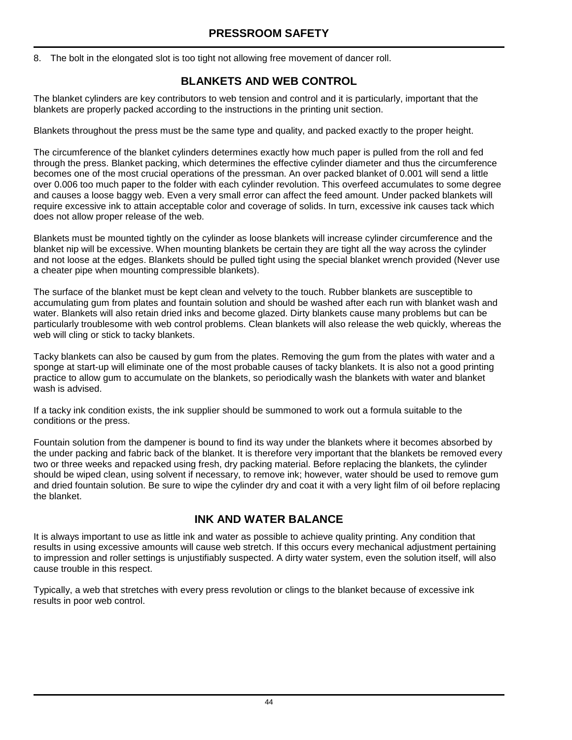8. The bolt in the elongated slot is too tight not allowing free movement of dancer roll.

## **BLANKETS AND WEB CONTROL**

The blanket cylinders are key contributors to web tension and control and it is particularly, important that the blankets are properly packed according to the instructions in the printing unit section.

Blankets throughout the press must be the same type and quality, and packed exactly to the proper height.

The circumference of the blanket cylinders determines exactly how much paper is pulled from the roll and fed through the press. Blanket packing, which determines the effective cylinder diameter and thus the circumference becomes one of the most crucial operations of the pressman. An over packed blanket of 0.001 will send a little over 0.006 too much paper to the folder with each cylinder revolution. This overfeed accumulates to some degree and causes a loose baggy web. Even a very small error can affect the feed amount. Under packed blankets will require excessive ink to attain acceptable color and coverage of solids. In turn, excessive ink causes tack which does not allow proper release of the web.

Blankets must be mounted tightly on the cylinder as loose blankets will increase cylinder circumference and the blanket nip will be excessive. When mounting blankets be certain they are tight all the way across the cylinder and not loose at the edges. Blankets should be pulled tight using the special blanket wrench provided (Never use a cheater pipe when mounting compressible blankets).

The surface of the blanket must be kept clean and velvety to the touch. Rubber blankets are susceptible to accumulating gum from plates and fountain solution and should be washed after each run with blanket wash and water. Blankets will also retain dried inks and become glazed. Dirty blankets cause many problems but can be particularly troublesome with web control problems. Clean blankets will also release the web quickly, whereas the web will cling or stick to tacky blankets.

Tacky blankets can also be caused by gum from the plates. Removing the gum from the plates with water and a sponge at start-up will eliminate one of the most probable causes of tacky blankets. It is also not a good printing practice to allow gum to accumulate on the blankets, so periodically wash the blankets with water and blanket wash is advised.

If a tacky ink condition exists, the ink supplier should be summoned to work out a formula suitable to the conditions or the press.

Fountain solution from the dampener is bound to find its way under the blankets where it becomes absorbed by the under packing and fabric back of the blanket. It is therefore very important that the blankets be removed every two or three weeks and repacked using fresh, dry packing material. Before replacing the blankets, the cylinder should be wiped clean, using solvent if necessary, to remove ink; however, water should be used to remove gum and dried fountain solution. Be sure to wipe the cylinder dry and coat it with a very light film of oil before replacing the blanket.

#### **INK AND WATER BALANCE**

It is always important to use as little ink and water as possible to achieve quality printing. Any condition that results in using excessive amounts will cause web stretch. If this occurs every mechanical adjustment pertaining to impression and roller settings is unjustifiably suspected. A dirty water system, even the solution itself, will also cause trouble in this respect.

Typically, a web that stretches with every press revolution or clings to the blanket because of excessive ink results in poor web control.